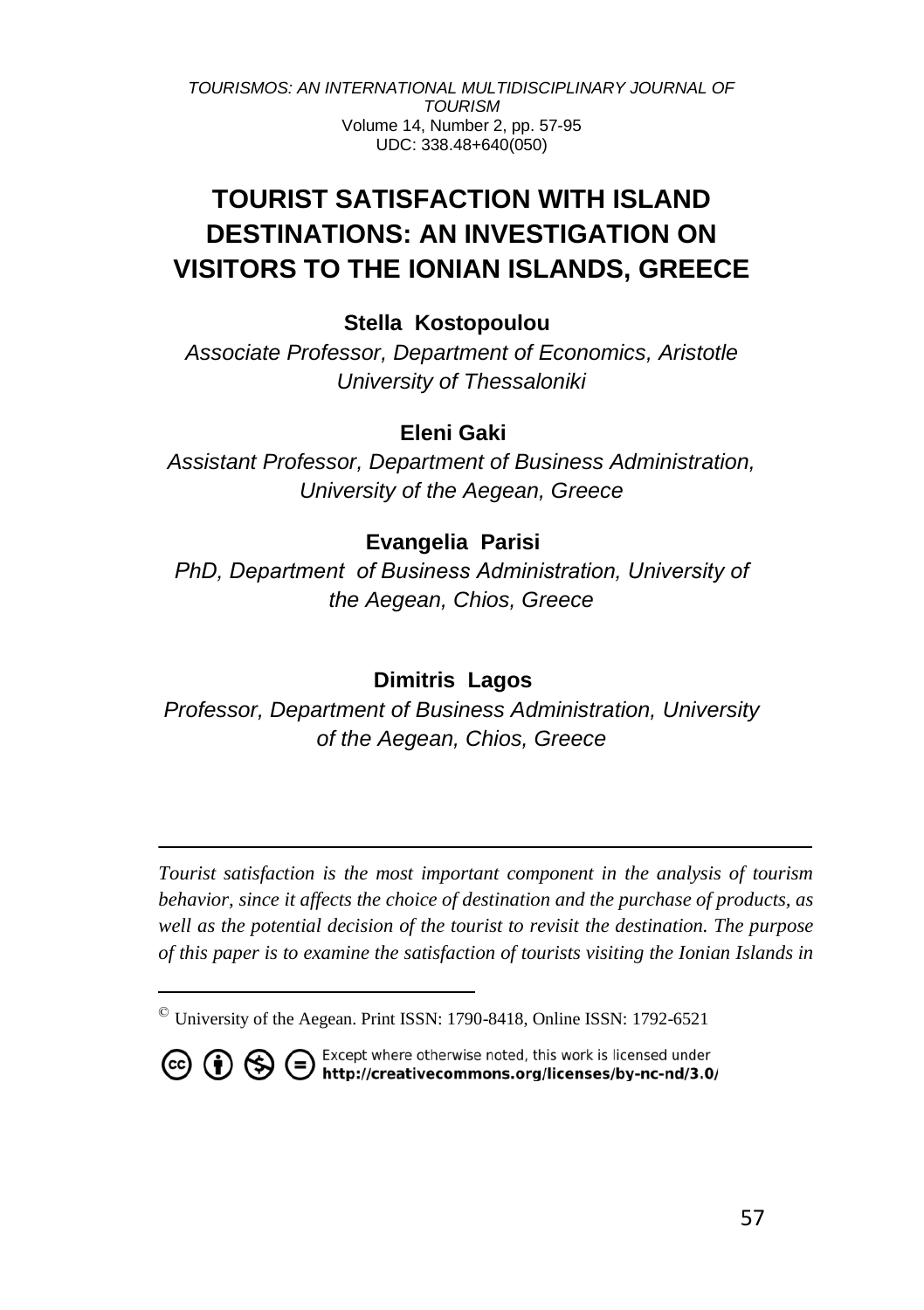# **TOURIST SATISFACTION WITH ISLAND DESTINATIONS: AN INVESTIGATION ON VISITORS TO THE IONIAN ISLANDS, GREECE**

# **Stella Kostopoulou**

*Associate Professor, Department of Economics, Aristotle University of Thessaloniki*

# **Eleni Gaki ©**

*Assistant Professor, Department of Business Administration, University of the Aegean, Greece*

# **Evangelia Parisi ©**

*PhD, Department οf Business Administration, University of the Aegean, Chios, Greece*

# **Dimitris Lagos**

*Professor, Department of Business Administration, University of the Aegean, Chios, Greece*

*Tourist satisfaction is the most important component in the analysis of tourism behavior, since it affects the choice of destination and the purchase of products, as well as the potential decision of the tourist to revisit the destination. The purpose of this paper is to examine the satisfaction of tourists visiting the Ionian Islands in* 

<sup>©</sup> University of the Aegean. Print ISSN: 1790-8418, Online ISSN: 1792-6521



**CO (i)** S Except where otherwise noted, this work is licensed under http://creativecommons.org/licenses/by-nc-nd/3.0/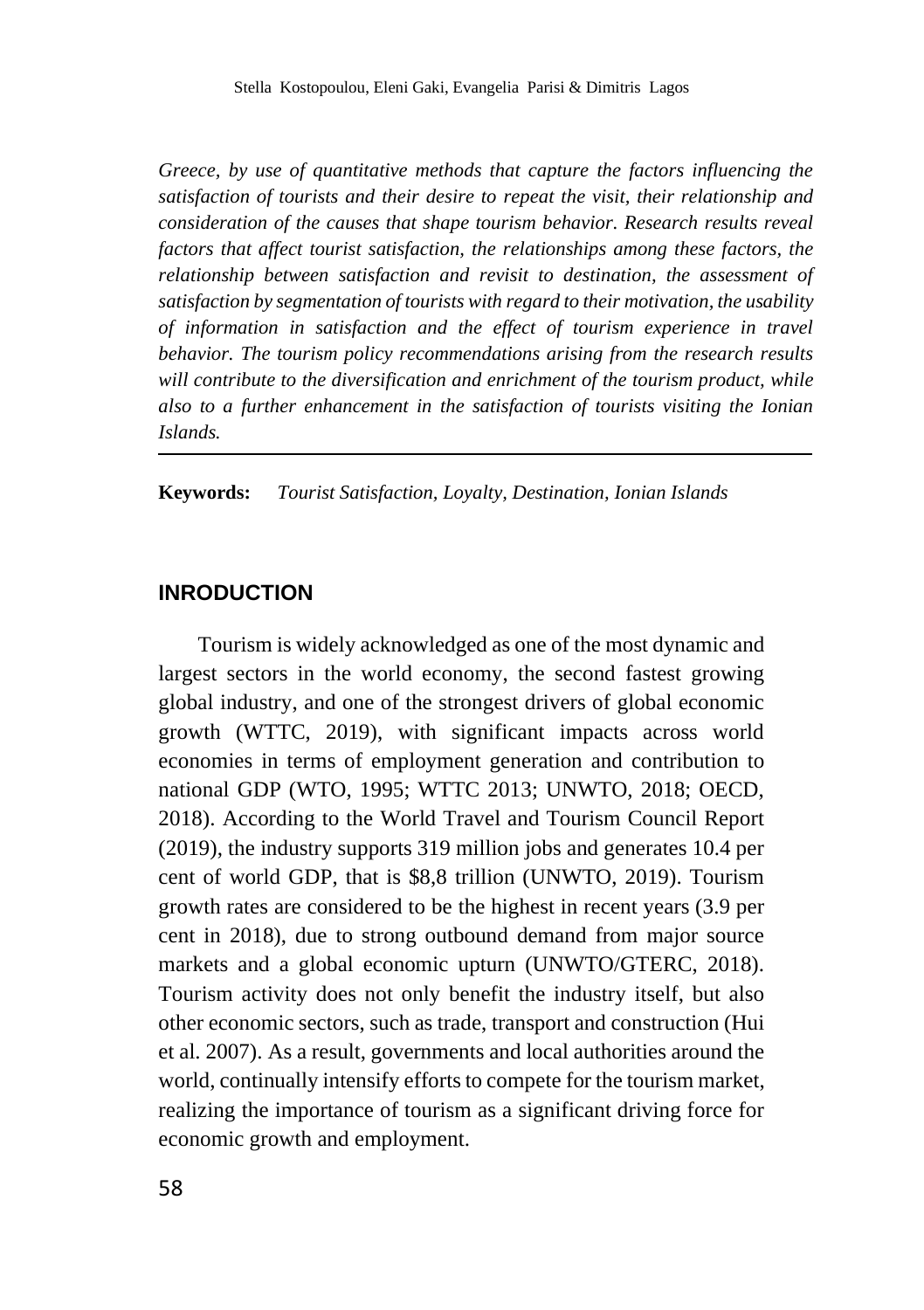*Greece, by use of quantitative methods that capture the factors influencing the satisfaction of tourists and their desire to repeat the visit, their relationship and consideration of the causes that shape tourism behavior. Research results reveal factors that affect tourist satisfaction, the relationships among these factors, the relationship between satisfaction and revisit to destination, the assessment of satisfaction by segmentation of tourists with regard to their motivation, the usability of information in satisfaction and the effect of tourism experience in travel behavior. The tourism policy recommendations arising from the research results will contribute to the diversification and enrichment of the tourism product, while also to a further enhancement in the satisfaction of tourists visiting the Ionian Islands.*

**Keywords:** *Tourist Satisfaction, Loyalty, Destination, Ionian Islands* 

# **INRODUCTION**

Tourism is widely acknowledged as one of the most dynamic and largest sectors in the world economy, the second fastest growing global industry, and one of the strongest drivers of global economic growth (WTTC, 2019), with significant impacts across world economies in terms of employment generation and contribution to national GDP (WTO, 1995; WTTC 2013; UNWTO, 2018; OECD, 2018). According to the World Travel and Tourism Council Report (2019), the industry supports 319 million jobs and generates 10.4 per cent of world GDP, that is \$8,8 trillion (UNWTO, 2019). Tourism growth rates are considered to be the highest in recent years (3.9 per cent in 2018), due to strong outbound demand from major source markets and a global economic upturn (UNWTO/GTERC, 2018). Tourism activity does not only benefit the industry itself, but also other economic sectors, such as trade, transport and construction (Hui et al. 2007). As a result, governments and local authorities around the world, continually intensify efforts to compete for the tourism market, realizing the importance of tourism as a significant driving force for economic growth and employment.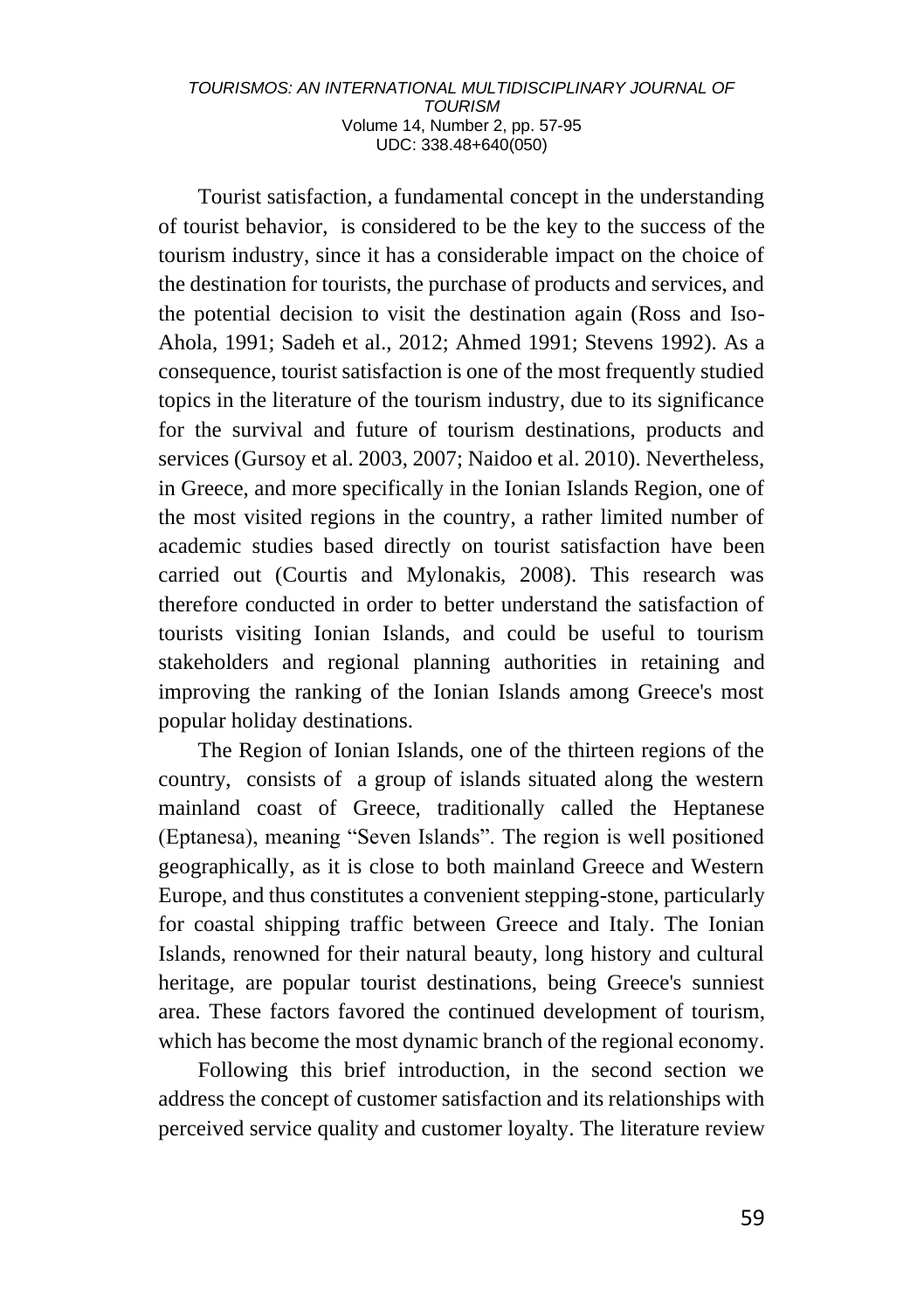Tourist satisfaction, a fundamental concept in the understanding of tourist behavior, is considered to be the key to the success of the tourism industry, since it has a considerable impact on the choice of the destination for tourists, the purchase of products and services, and the potential decision to visit the destination again (Ross and Iso-Ahola, 1991; Sadeh et al., 2012; Ahmed 1991; Stevens 1992). As a consequence, tourist satisfaction is one of the most frequently studied topics in the literature of the tourism industry, due to its significance for the survival and future of tourism destinations, products and services (Gursoy et al. 2003, 2007; Naidoo et al. 2010). Nevertheless, in Greece, and more specifically in the Ionian Islands Region, one of the most visited regions in the country, a rather limited number of academic studies based directly on tourist satisfaction have been carried out (Courtis and Mylonakis, 2008). This research was therefore conducted in order to better understand the satisfaction of tourists visiting Ionian Islands, and could be useful to tourism stakeholders and regional planning authorities in retaining and improving the ranking of the Ionian Islands among Greece's most popular holiday destinations.

The Region of Ionian Islands, one of the thirteen regions of the country, consists of a group of islands situated along the western mainland coast of Greece, traditionally called the Heptanese (Eptanesa), meaning "Seven Islands". The region is well positioned geographically, as it is close to both mainland Greece and Western Europe, and thus constitutes a convenient stepping-stone, particularly for coastal shipping traffic between Greece and Italy. The Ionian Islands, renowned for their natural beauty, long history and cultural heritage, are popular tourist destinations, being Greece's sunniest area. These factors favored the continued development of tourism, which has become the most dynamic branch of the regional economy.

Following this brief introduction, in the second section we address the concept of customer satisfaction and its relationships with perceived service quality and customer loyalty. The literature review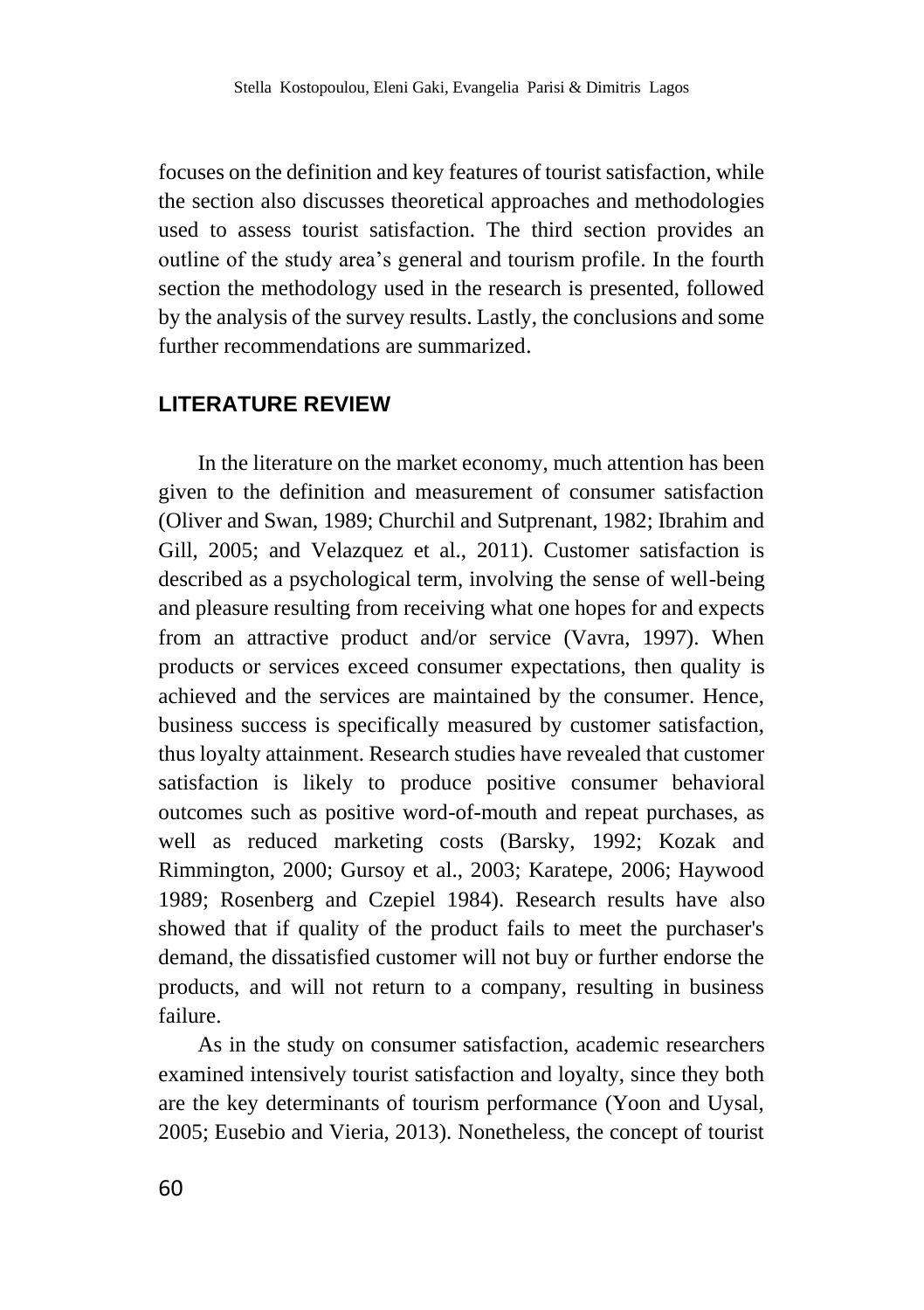focuses on the definition and key features of tourist satisfaction, while the section also discusses theoretical approaches and methodologies used to assess tourist satisfaction. The third section provides an outline of the study area's general and tourism profile. In the fourth section the methodology used in the research is presented, followed by the analysis of the survey results. Lastly, the conclusions and some further recommendations are summarized.

# **LITERATURE REVIEW**

In the literature on the market economy, much attention has been given to the definition and measurement of consumer satisfaction (Oliver and Swan, 1989; Churchil and Sutprenant, 1982; Ibrahim and Gill, 2005; and Velazquez et al., 2011). Customer satisfaction is described as a psychological term, involving the sense of well-being and pleasure resulting from receiving what one hopes for and expects from an attractive product and/or service (Vavra, 1997). When products or services exceed consumer expectations, then quality is achieved and the services are maintained by the consumer. Hence, business success is specifically measured by customer satisfaction, thus loyalty attainment. Research studies have revealed that customer satisfaction is likely to produce positive consumer behavioral outcomes such as positive word-of-mouth and repeat purchases, as well as reduced marketing costs (Barsky, 1992; Kozak and Rimmington, 2000; Gursoy et al., 2003; Karatepe, 2006; Haywood 1989; Rosenberg and Czepiel 1984). Research results have also showed that if quality of the product fails to meet the purchaser's demand, the dissatisfied customer will not buy or further endorse the products, and will not return to a company, resulting in business failure.

As in the study on consumer satisfaction, academic researchers examined intensively tourist satisfaction and loyalty, since they both are the key determinants of tourism performance (Yoon and Uysal, 2005; Eusebio and Vieria, 2013). Nonetheless, the concept of tourist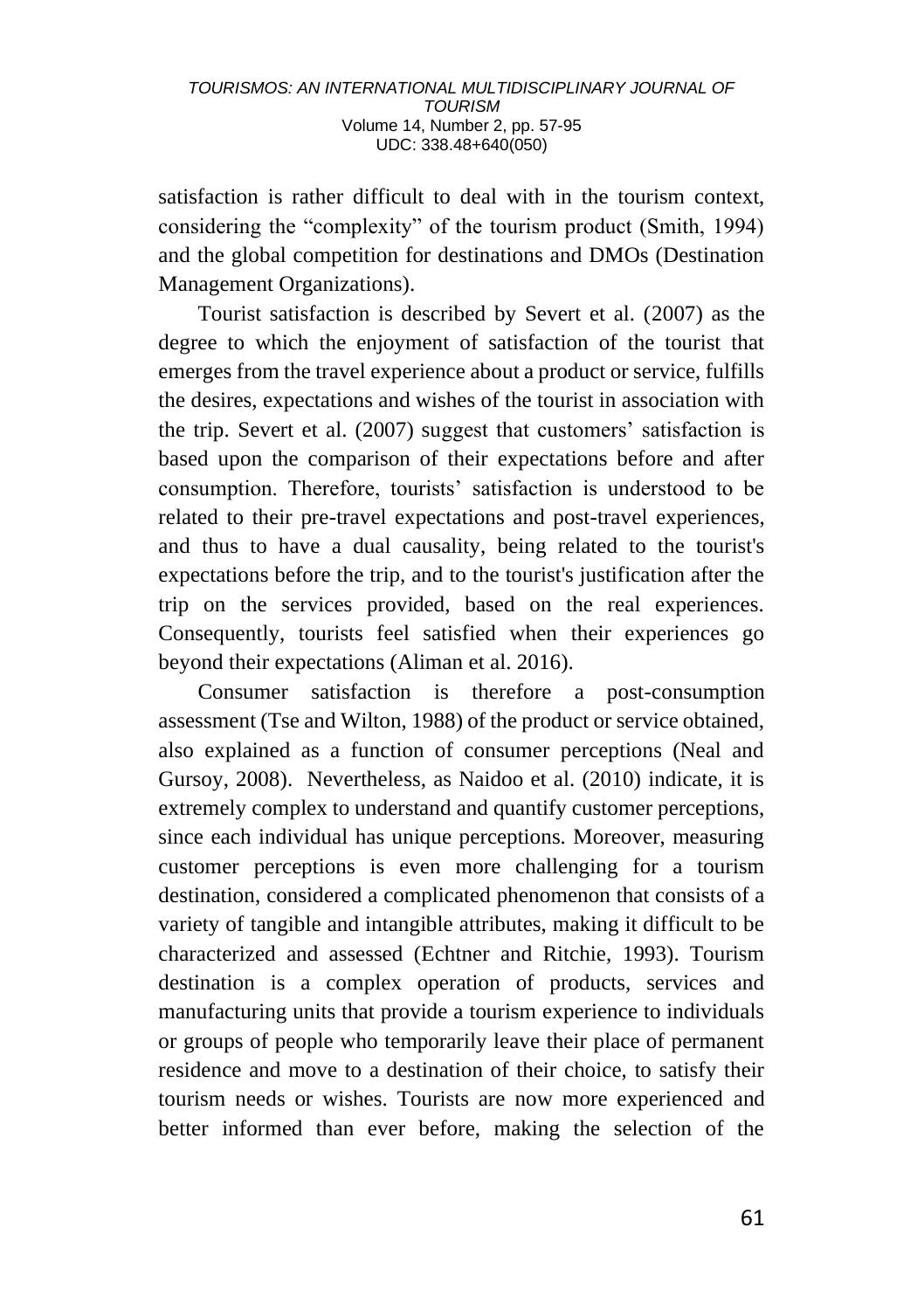satisfaction is rather difficult to deal with in the tourism context, considering the "complexity" of the tourism product (Smith, 1994) and the global competition for destinations and DMOs (Destination Management Organizations).

Tourist satisfaction is described by Severt et al. (2007) as the degree to which the enjoyment of satisfaction of the tourist that emerges from the travel experience about a product or service, fulfills the desires, expectations and wishes of the tourist in association with the trip. Severt et al. (2007) suggest that customers' satisfaction is based upon the comparison of their expectations before and after consumption. Therefore, tourists' satisfaction is understood to be related to their pre-travel expectations and post-travel experiences, and thus to have a dual causality, being related to the tourist's expectations before the trip, and to the tourist's justification after the trip on the services provided, based on the real experiences. Consequently, tourists feel satisfied when their experiences go beyond their expectations (Aliman et al. 2016).

Consumer satisfaction is therefore a post-consumption assessment (Tse and Wilton, 1988) of the product or service obtained, also explained as a function of consumer perceptions (Neal and Gursoy, 2008). Nevertheless, as Naidoo et al. (2010) indicate, it is extremely complex to understand and quantify customer perceptions, since each individual has unique perceptions. Moreover, measuring customer perceptions is even more challenging for a tourism destination, considered a complicated phenomenon that consists of a variety of tangible and intangible attributes, making it difficult to be characterized and assessed (Echtner and Ritchie, 1993). Tourism destination is a complex operation of products, services and manufacturing units that provide a tourism experience to individuals or groups of people who temporarily leave their place of permanent residence and move to a destination of their choice, to satisfy their tourism needs or wishes. Tourists are now more experienced and better informed than ever before, making the selection of the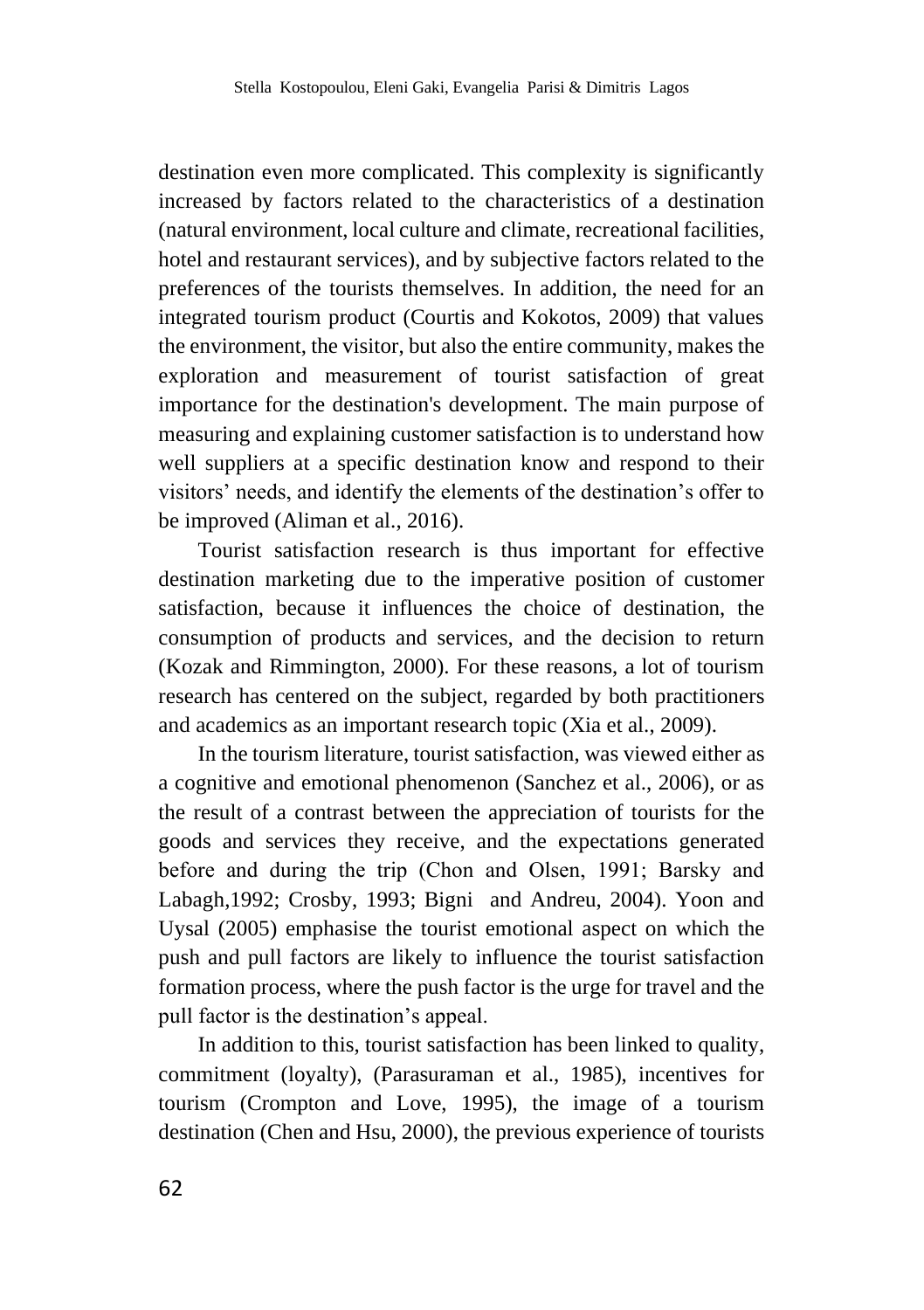destination even more complicated. This complexity is significantly increased by factors related to the characteristics of a destination (natural environment, local culture and climate, recreational facilities, hotel and restaurant services), and by subjective factors related to the preferences of the tourists themselves. In addition, the need for an integrated tourism product (Courtis and Kokotos, 2009) that values the environment, the visitor, but also the entire community, makes the exploration and measurement of tourist satisfaction of great importance for the destination's development. The main purpose of measuring and explaining customer satisfaction is to understand how well suppliers at a specific destination know and respond to their visitors' needs, and identify the elements of the destination's offer to be improved (Aliman et al., 2016).

Tourist satisfaction research is thus important for effective destination marketing due to the imperative position of customer satisfaction, because it influences the choice of destination, the consumption of products and services, and the decision to return (Kozak and Rimmington, 2000). For these reasons, a lot of tourism research has centered on the subject, regarded by both practitioners and academics as an important research topic (Xia et al., 2009).

In the tourism literature, tourist satisfaction, was viewed either as a cognitive and emotional phenomenon (Sanchez et al., 2006), or as the result of a contrast between the appreciation of tourists for the goods and services they receive, and the expectations generated before and during the trip (Chon and Olsen, 1991; Βarsky and Labagh,1992; Crosby, 1993; Bigni and Andreu, 2004). Yoon and Uysal (2005) emphasise the tourist emotional aspect on which the push and pull factors are likely to influence the tourist satisfaction formation process, where the push factor is the urge for travel and the pull factor is the destination's appeal.

In addition to this, tourist satisfaction has been linked to quality, commitment (loyalty), (Parasuraman et al., 1985), incentives for tourism (Crompton and Love, 1995), the image of a tourism destination (Chen and Hsu, 2000), the previous experience of tourists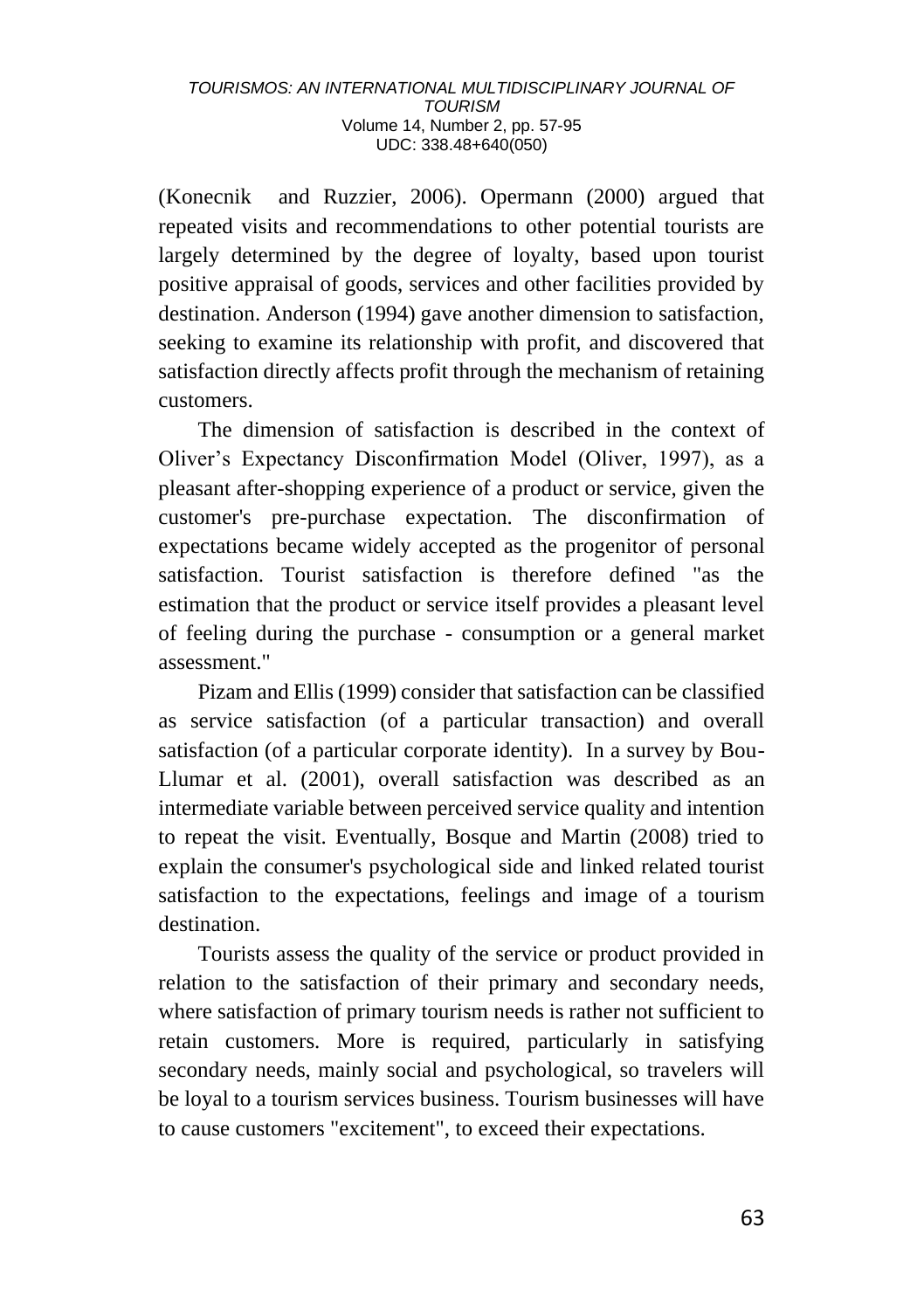(Konecnik and Ruzzier, 2006). Opermann (2000) argued that repeated visits and recommendations to other potential tourists are largely determined by the degree of loyalty, based upon tourist positive appraisal of goods, services and other facilities provided by destination. Anderson (1994) gave another dimension to satisfaction, seeking to examine its relationship with profit, and discovered that satisfaction directly affects profit through the mechanism of retaining customers.

The dimension of satisfaction is described in the context of Oliver's Expectancy Disconfirmation Model (Oliver, 1997), as a pleasant after-shopping experience of a product or service, given the customer's pre-purchase expectation. The disconfirmation of expectations became widely accepted as the progenitor of personal satisfaction. Tourist satisfaction is therefore defined "as the estimation that the product or service itself provides a pleasant level of feeling during the purchase - consumption or a general market assessment."

Pizam and Ellis (1999) consider that satisfaction can be classified as service satisfaction (of a particular transaction) and overall satisfaction (of a particular corporate identity). In a survey by Bou-Llumar et al. (2001), overall satisfaction was described as an intermediate variable between perceived service quality and intention to repeat the visit. Eventually, Bosque and Martin (2008) tried to explain the consumer's psychological side and linked related tourist satisfaction to the expectations, feelings and image of a tourism destination.

Tourists assess the quality of the service or product provided in relation to the satisfaction of their primary and secondary needs, where satisfaction of primary tourism needs is rather not sufficient to retain customers. More is required, particularly in satisfying secondary needs, mainly social and psychological, so travelers will be loyal to a tourism services business. Tourism businesses will have to cause customers "excitement", to exceed their expectations.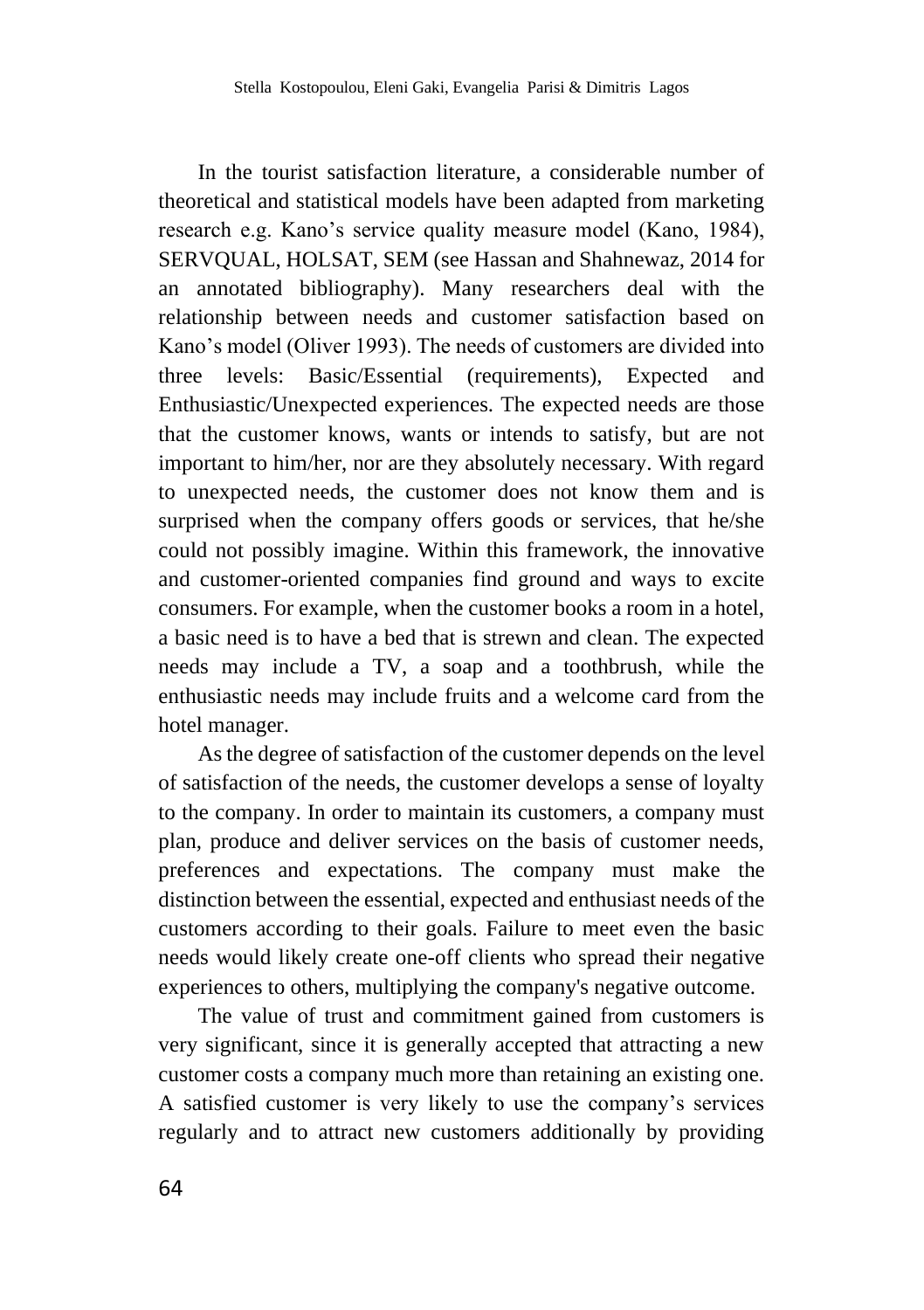In the tourist satisfaction literature, a considerable number of theoretical and statistical models have been adapted from marketing research e.g. Kano's service quality measure model (Kano, 1984), SERVQUAL, HOLSAT, SEM (see Hassan and Shahnewaz, 2014 for an annotated bibliography). Many researchers deal with the relationship between needs and customer satisfaction based on Kano's model (Oliver 1993). The needs of customers are divided into three levels: Basic/Essential (requirements), Expected and Enthusiastic/Unexpected experiences. The expected needs are those that the customer knows, wants or intends to satisfy, but are not important to him/her, nor are they absolutely necessary. With regard to unexpected needs, the customer does not know them and is surprised when the company offers goods or services, that he/she could not possibly imagine. Within this framework, the innovative and customer-oriented companies find ground and ways to excite consumers. For example, when the customer books a room in a hotel, a basic need is to have a bed that is strewn and clean. The expected needs may include a TV, a soap and a toothbrush, while the enthusiastic needs may include fruits and a welcome card from the hotel manager.

As the degree of satisfaction of the customer depends on the level of satisfaction of the needs, the customer develops a sense of loyalty to the company. In order to maintain its customers, a company must plan, produce and deliver services on the basis of customer needs, preferences and expectations. The company must make the distinction between the essential, expected and enthusiast needs of the customers according to their goals. Failure to meet even the basic needs would likely create one-off clients who spread their negative experiences to others, multiplying the company's negative outcome.

The value of trust and commitment gained from customers is very significant, since it is generally accepted that attracting a new customer costs a company much more than retaining an existing one. A satisfied customer is very likely to use the company's services regularly and to attract new customers additionally by providing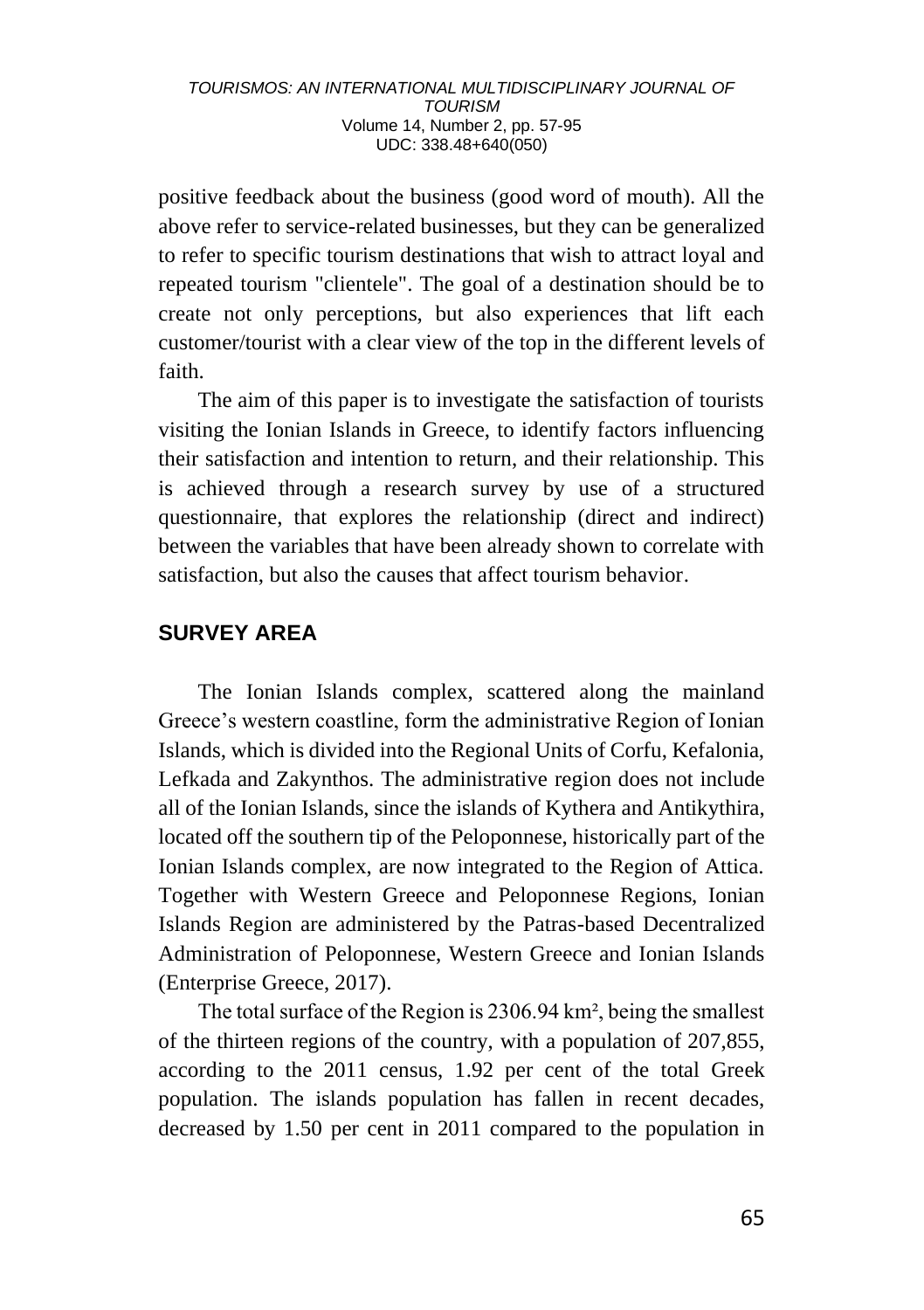positive feedback about the business (good word of mouth). All the above refer to service-related businesses, but they can be generalized to refer to specific tourism destinations that wish to attract loyal and repeated tourism "clientele". The goal of a destination should be to create not only perceptions, but also experiences that lift each customer/tourist with a clear view of the top in the different levels of faith.

The aim of this paper is to investigate the satisfaction of tourists visiting the Ionian Islands in Greece, to identify factors influencing their satisfaction and intention to return, and their relationship. This is achieved through a research survey by use of a structured questionnaire, that explores the relationship (direct and indirect) between the variables that have been already shown to correlate with satisfaction, but also the causes that affect tourism behavior.

# **SURVEY AREA**

The Ionian Islands complex, scattered along the mainland Greece's western coastline, form the administrative Region of Ionian Islands, which is divided into the Regional Units of Corfu, Kefalonia, Lefkada and Zakynthos. The administrative region does not include all of the Ionian Islands, since the islands of Kythera and Antikythira, located off the southern tip of the Peloponnese, historically part of the Ionian Islands complex, are now integrated to the Region of Attica. Together with Western Greece and Peloponnese Regions, Ionian Islands Region are administered by the Patras-based Decentralized Administration of Peloponnese, Western Greece and Ionian Islands (Enterprise Greece, 2017).

The total surface of the Region is 2306.94 km², being the smallest of the thirteen regions of the country, with a population of 207,855, according to the 2011 census, 1.92 per cent of the total Greek population. The islands population has fallen in recent decades, decreased by 1.50 per cent in 2011 compared to the population in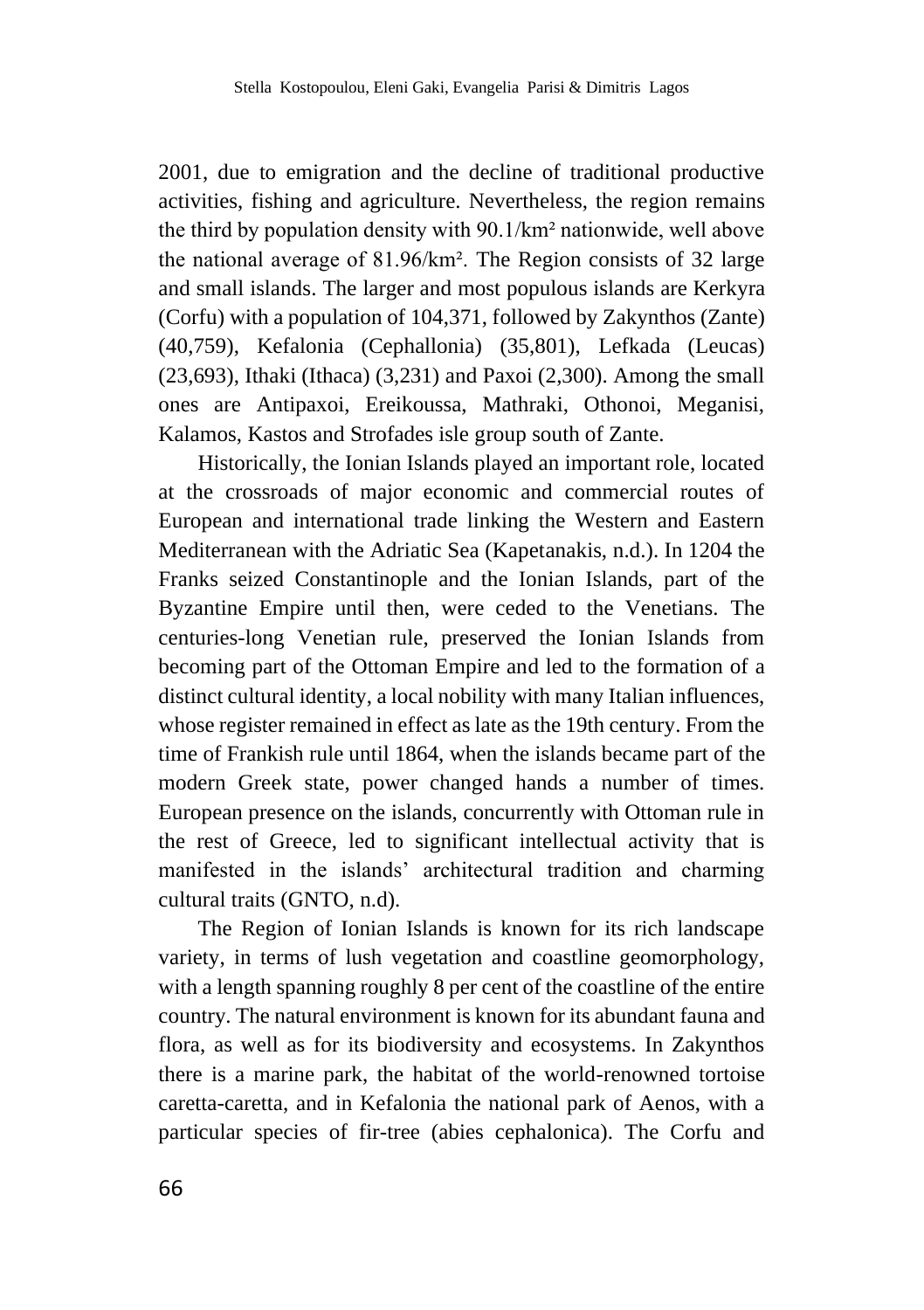2001, due to emigration and the decline of traditional productive activities, fishing and agriculture. Nevertheless, the region remains the third by population density with 90.1/km² nationwide, well above the national average of 81.96/km². The Region consists of 32 large and small islands. The larger and most populous islands are Kerkyra (Corfu) with a population of 104,371, followed by Zakynthos (Zante) (40,759), Kefalonia (Cephallonia) (35,801), Lefkada (Leucas) (23,693), Ithaki (Ithaca) (3,231) and Paxoi (2,300). Among the small ones are Antipaxoi, Ereikoussa, Mathraki, Othonoi, Meganisi, Kalamos, Kastos and Strofades isle group south of Zante.

Historically, the Ionian Islands played an important role, located at the crossroads of major economic and commercial routes of European and international trade linking the Western and Eastern Mediterranean with the Adriatic Sea (Kapetanakis, n.d.). In 1204 the Franks seized Constantinople and the Ionian Islands, part of the Byzantine Empire until then, were ceded to the Venetians. The centuries-long Venetian rule, preserved the Ionian Islands from becoming part of the Ottoman Empire and led to the formation of a distinct cultural identity, a local nobility with many Italian influences, whose register remained in effect as late as the 19th century. From the time of Frankish rule until 1864, when the islands became part of the modern Greek state, power changed hands a number of times. European presence on the islands, concurrently with Ottoman rule in the rest of Greece, led to significant intellectual activity that is manifested in the islands' architectural tradition and charming cultural traits (GNTO, n.d).

The Region of Ionian Islands is known for its rich landscape variety, in terms of lush vegetation and coastline geomorphology, with a length spanning roughly 8 per cent of the coastline of the entire country. The natural environment is known for its abundant fauna and flora, as well as for its biodiversity and ecosystems. In Zakynthos there is a marine park, the habitat of the world-renowned tortoise caretta-caretta, and in Kefalonia the national park of Aenos, with a particular species of fir-tree (abies cephalonica). The Corfu and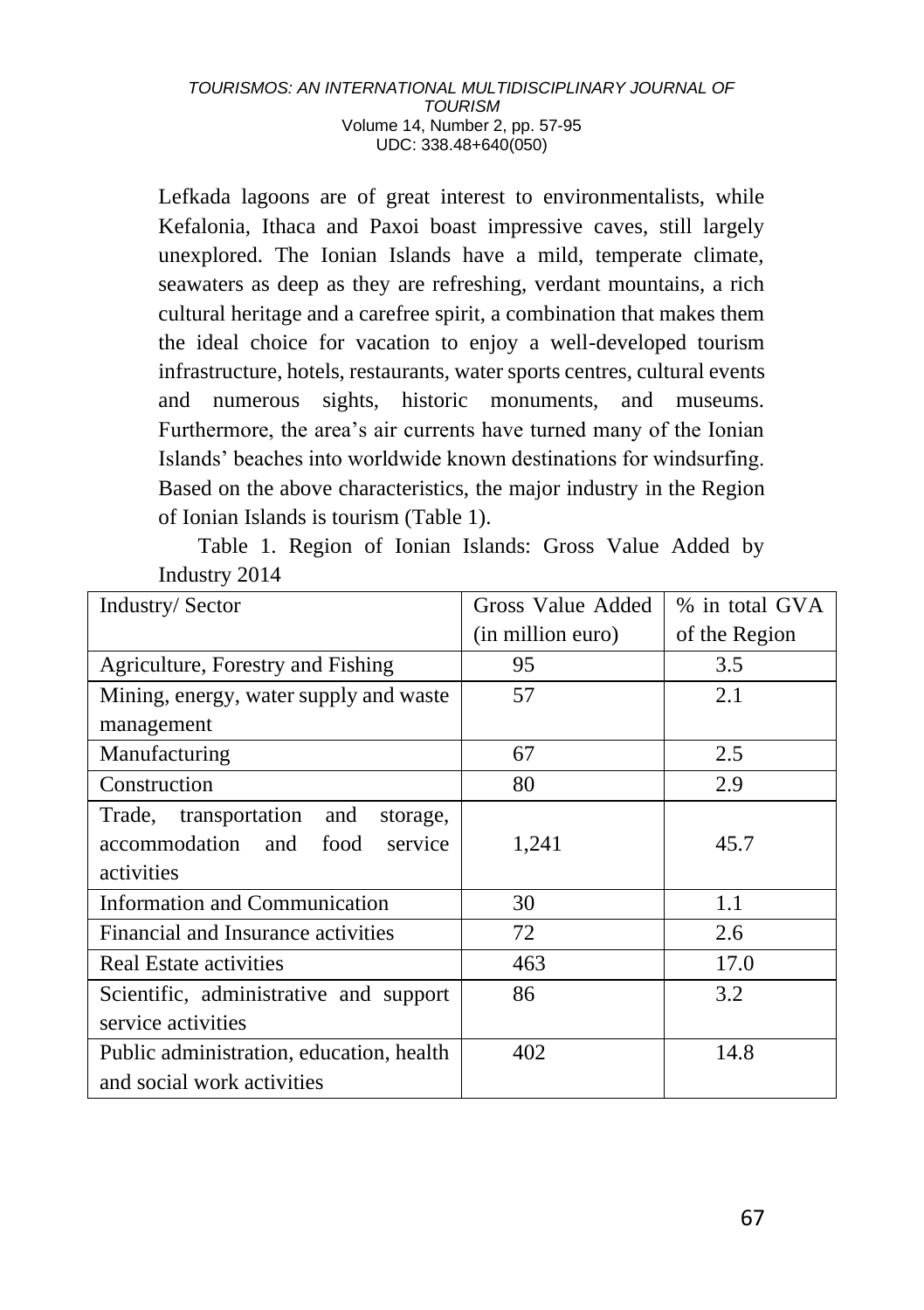Lefkada lagoons are of great interest to environmentalists, while Kefalonia, Ithaca and Paxoi boast impressive caves, still largely unexplored. The Ionian Islands have a mild, temperate climate, seawaters as deep as they are refreshing, verdant mountains, a rich cultural heritage and a carefree spirit, a combination that makes them the ideal choice for vacation to enjoy a well-developed tourism infrastructure, hotels, restaurants, water sports centres, cultural events and numerous sights, historic monuments, and museums. Furthermore, the area's air currents have turned many of the Ionian Islands' beaches into worldwide known destinations for windsurfing. Based on the above characteristics, the major industry in the Region of Ionian Islands is tourism (Table 1).

Table 1. Region of Ionian Islands: Gross Value Added by Industry 2014

| <b>Industry/Sector</b>                   | Gross Value Added | % in total GVA |
|------------------------------------------|-------------------|----------------|
|                                          | (in million euro) | of the Region  |
| Agriculture, Forestry and Fishing        | 95                | 3.5            |
| Mining, energy, water supply and waste   | 57                | 2.1            |
| management                               |                   |                |
| Manufacturing                            | 67                | 2.5            |
| Construction                             | 80                | 2.9            |
| Trade, transportation<br>and<br>storage, |                   |                |
| accommodation and<br>food<br>service     | 1,241             | 45.7           |
| activities                               |                   |                |
| <b>Information and Communication</b>     | 30                | 1.1            |
| Financial and Insurance activities       | 72                | 2.6            |
| Real Estate activities                   | 463               | 17.0           |
| Scientific, administrative and support   | 86                | 3.2            |
| service activities                       |                   |                |
| Public administration, education, health | 402               | 14.8           |
| and social work activities               |                   |                |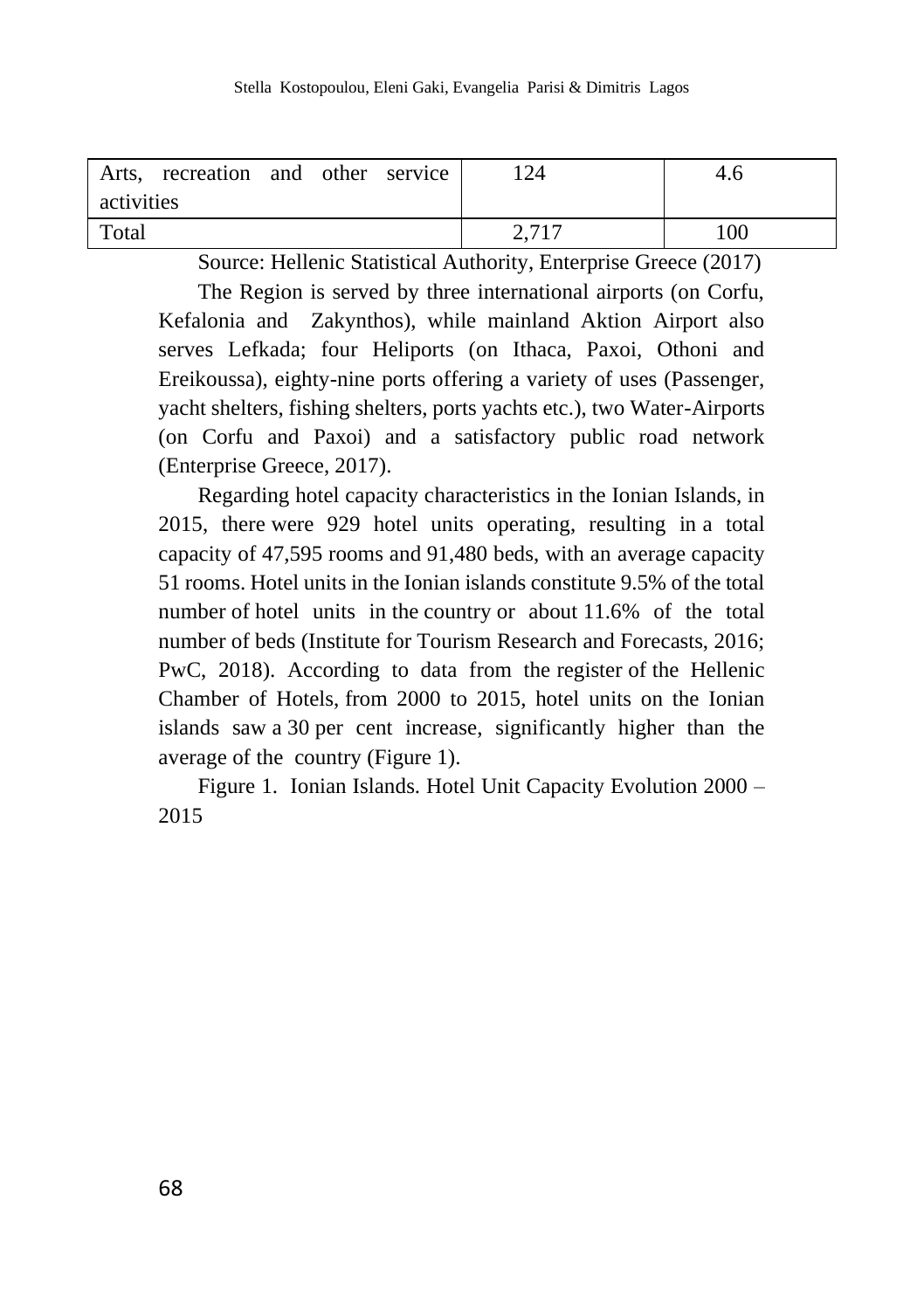| Arts, recreation and other service | 124   | 4.6 |
|------------------------------------|-------|-----|
| activities                         |       |     |
| Total                              | 2,717 | 100 |

Source: Hellenic Statistical Authority, Enterprise Greece (2017) The Region is served by three international airports (on Corfu,

Kefalonia and Zakynthos), while mainland Aktion Airport also serves Lefkada; four Heliports (on Ithaca, Paxoi, Othoni and Ereikoussa), eighty-nine ports offering a variety of uses (Passenger, yacht shelters, fishing shelters, ports yachts etc.), two Water-Airports (on Corfu and Paxoi) and a satisfactory public road network (Enterprise Greece, 2017).

Regarding hotel capacity characteristics in the Ionian Islands, in 2015, there were 929 hotel units operating, resulting in a total capacity of 47,595 rooms and 91,480 beds, with an average capacity 51 rooms. Hotel units in the Ionian islands constitute 9.5% of the total number of hotel units in the country or about 11.6% of the total number of beds (Institute for Tourism Research and Forecasts, 2016; PwC, 2018). According to data from the register of the Hellenic Chamber of Hotels, from 2000 to 2015, hotel units on the Ionian islands saw a 30 per cent increase, significantly higher than the average of the country (Figure 1).

Figure 1. Ιonian Islands. Hotel Unit Capacity Evolution 2000 – 2015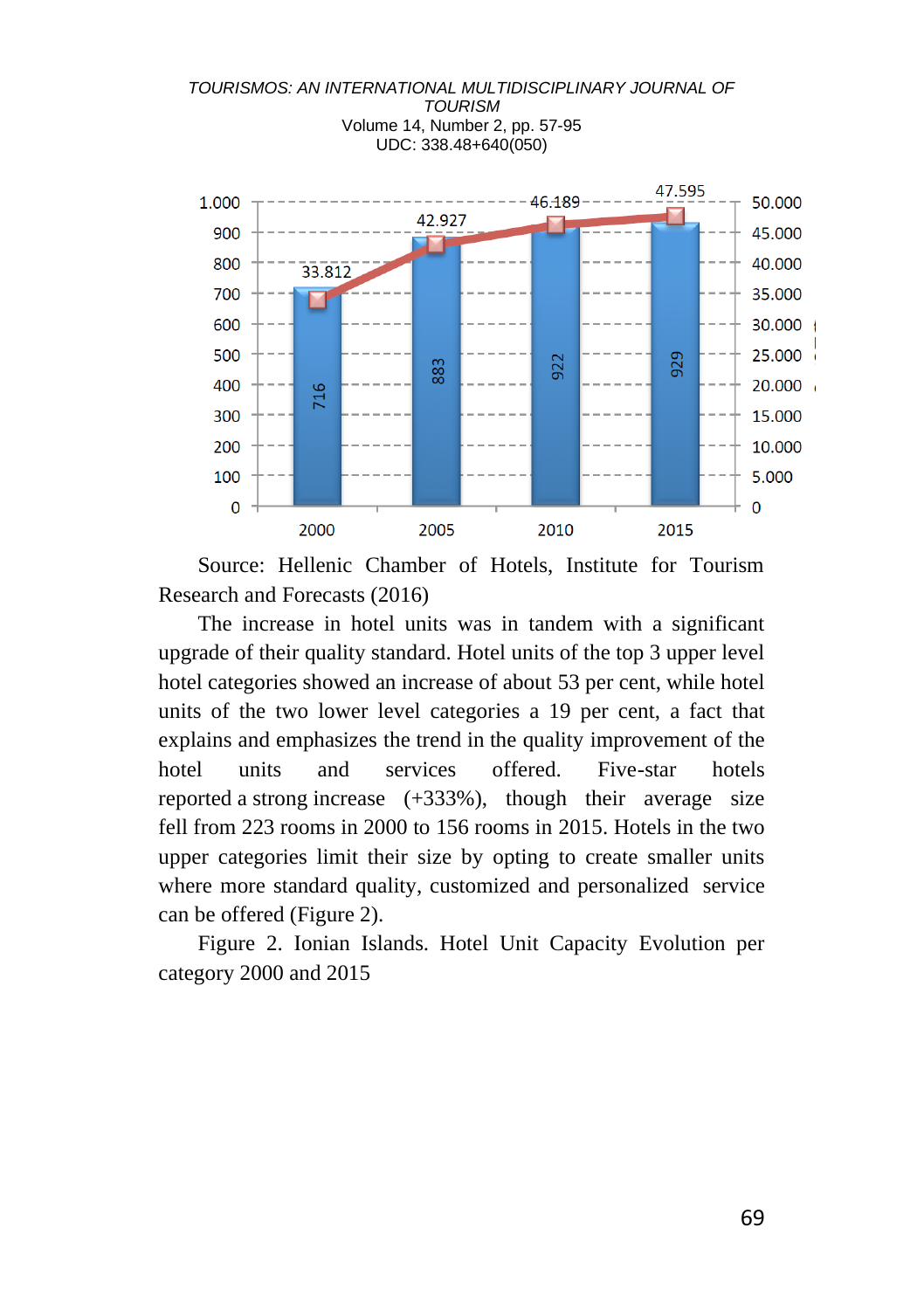

Source: Hellenic Chamber of Hotels, Institute for Tourism Research and Forecasts (2016)

The increase in hotel units was in tandem with a significant upgrade of their quality standard. Hotel units of the top 3 upper level hotel categories showed an increase of about 53 per cent, while hotel units of the two lower level categories a 19 per cent, a fact that explains and emphasizes the trend in the quality improvement of the hotel units and services offered. Five-star hotels reported a strong increase (+333%), though their average size fell from 223 rooms in 2000 to 156 rooms in 2015. Hotels in the two upper categories limit their size by opting to create smaller units where more standard quality, customized and personalized service can be offered (Figure 2).

Figure 2. Ιonian Islands. Hotel Unit Capacity Evolution per category 2000 and 2015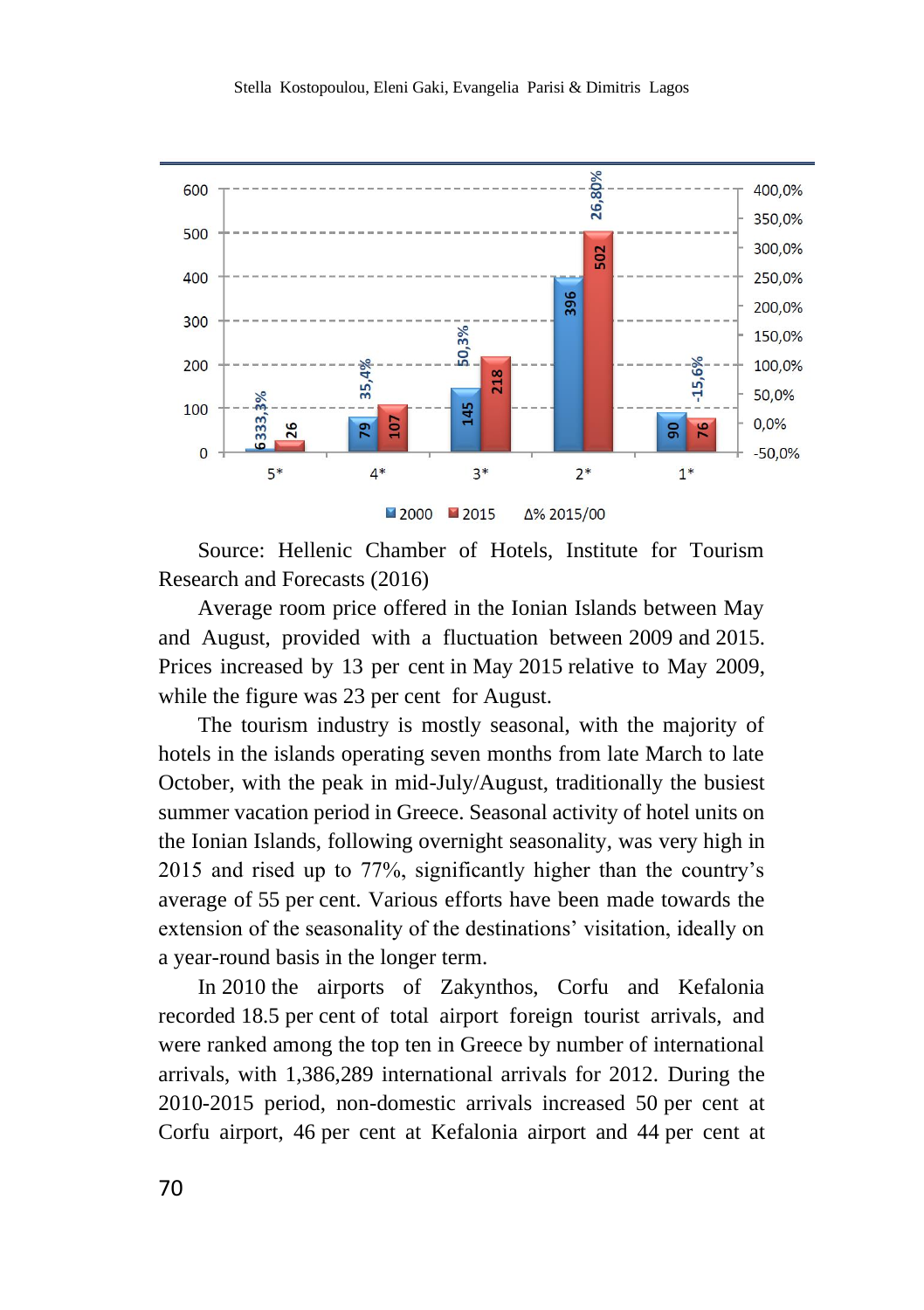

Source: Hellenic Chamber of Hotels, Institute for Tourism Research and Forecasts (2016)

Average room price offered in the Ionian Islands between May and August, provided with a fluctuation between 2009 and 2015. Prices increased by 13 per cent in May 2015 relative to May 2009, while the figure was 23 per cent for August.

The tourism industry is mostly seasonal, with the majority of hotels in the islands operating seven months from late March to late October, with the peak in mid-July/August, traditionally the busiest summer vacation period in Greece. Seasonal activity of hotel units on the Ionian Islands, following overnight seasonality, was very high in 2015 and rised up to 77%, significantly higher than the country's average of 55 per cent. Various efforts have been made towards the extension of the seasonality of the destinations' visitation, ideally on a year-round basis in the longer term.

In 2010 the airports of Zakynthos, Corfu and Kefalonia recorded 18.5 per cent of total airport foreign tourist arrivals, and were ranked among the top ten in Greece by number of international arrivals, with 1,386,289 international arrivals for 2012. During the 2010-2015 period, non-domestic arrivals increased 50 per cent at Corfu airport, 46 per cent at Kefalonia airport and 44 per cent at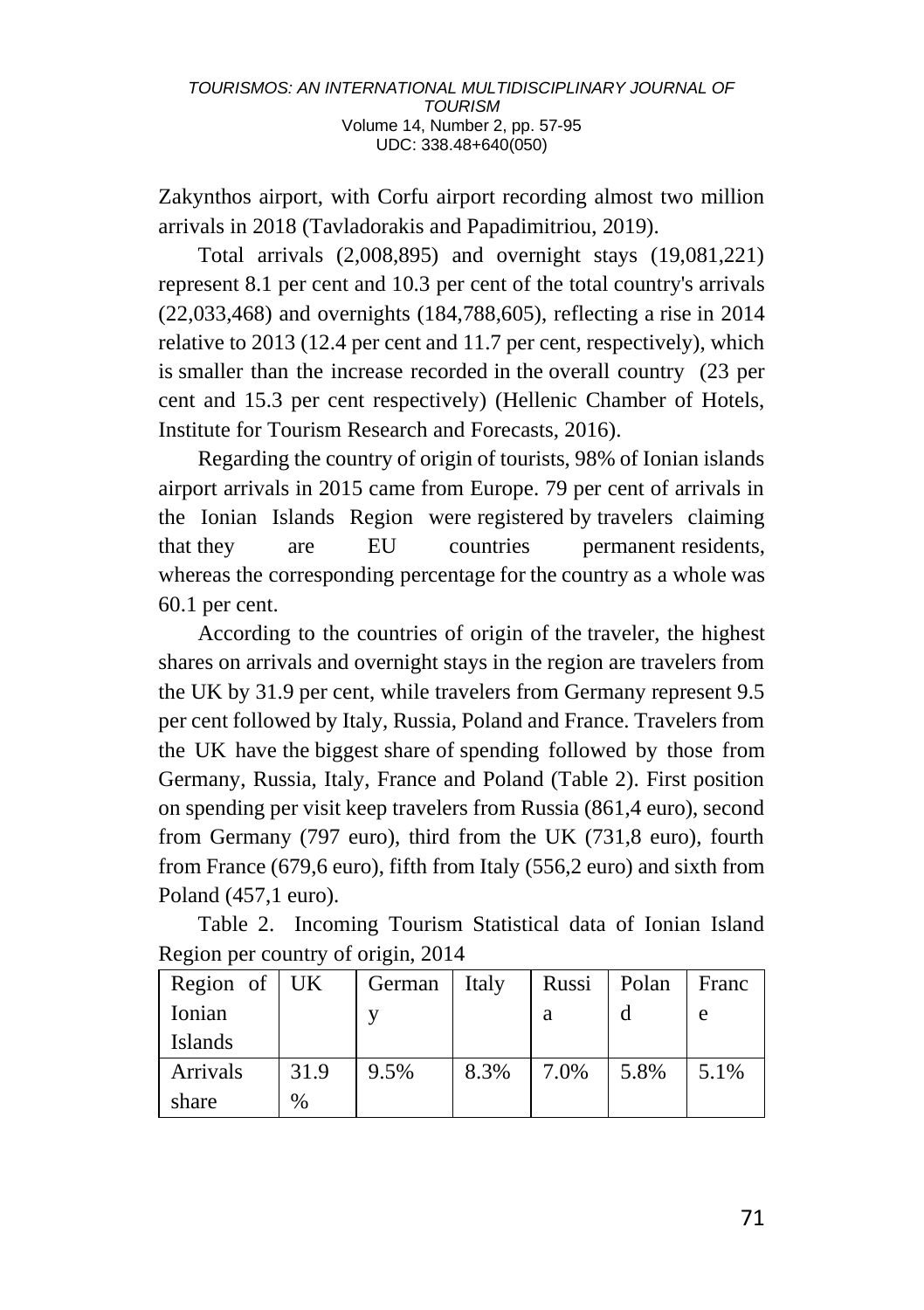Zakynthos airport, with Corfu airport recording almost two million arrivals in 2018 (Tavladorakis and Papadimitriou, 2019).

Total arrivals (2,008,895) and overnight stays (19,081,221) represent 8.1 per cent and 10.3 per cent of the total country's arrivals (22,033,468) and overnights (184,788,605), reflecting a rise in 2014 relative to 2013 (12.4 per cent and 11.7 per cent, respectively), which is smaller than the increase recorded in the overall country (23 per cent and 15.3 per cent respectively) (Hellenic Chamber of Hotels, Institute for Tourism Research and Forecasts, 2016).

Regarding the country of origin of tourists, 98% of Ionian islands airport arrivals in 2015 came from Europe. 79 per cent of arrivals in the Ionian Islands Region were registered by travelers claiming that they are EU countries permanent residents, whereas the corresponding percentage for the country as a whole was 60.1 per cent.

According to the countries of origin of the traveler, the highest shares on arrivals and overnight stays in the region are travelers from the UK by 31.9 per cent, while travelers from Germany represent 9.5 per cent followed by Italy, Russia, Poland and France. Travelers from the UK have the biggest share of spending followed by those from Germany, Russia, Italy, France and Poland (Table 2). First position on spending per visit keep travelers from Russia (861,4 euro), second from Germany (797 euro), third from the UK (731,8 euro), fourth from France (679,6 euro), fifth from Italy (556,2 euro) and sixth from Poland (457,1 euro).

Table 2. Incoming Tourism Statistical data of Ionian Island Region per country of origin, 2014

| Region of $\vert$ UK |      | German | Italy | Russi | Polan | Franc |
|----------------------|------|--------|-------|-------|-------|-------|
| Ionian               |      |        |       | a     |       | e     |
| Islands              |      |        |       |       |       |       |
| Arrivals             | 31.9 | 9.5%   | 8.3%  | 7.0%  | 5.8%  | 5.1%  |
| share                | $\%$ |        |       |       |       |       |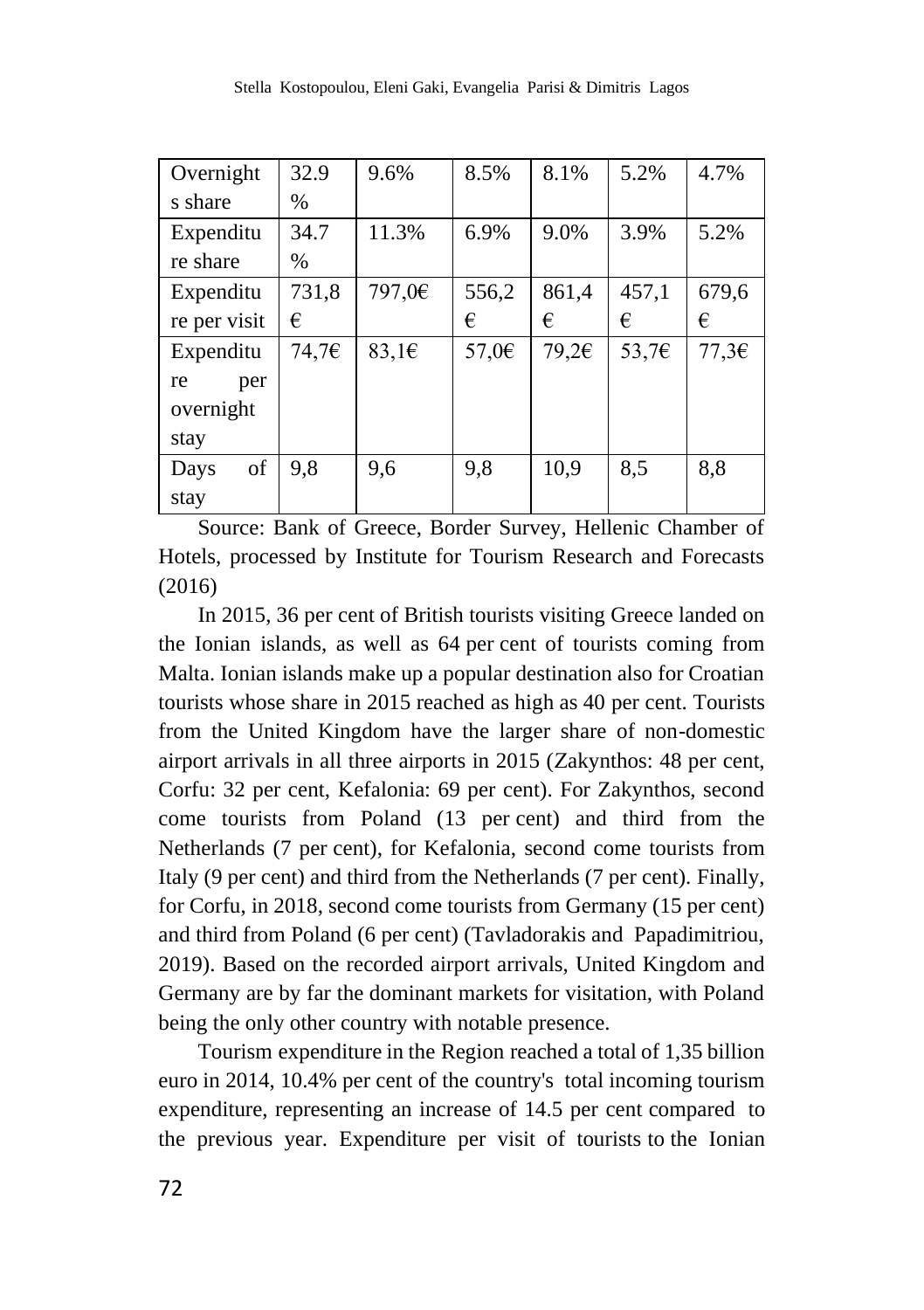| Overnight    | 32.9  | 9.6%               | 8.5%            | 8.1%  | 5.2%            | 4.7%  |
|--------------|-------|--------------------|-----------------|-------|-----------------|-------|
| s share      | $\%$  |                    |                 |       |                 |       |
| Expenditu    | 34.7  | 11.3%              | 6.9%            | 9.0%  | 3.9%            | 5.2%  |
| re share     | $\%$  |                    |                 |       |                 |       |
| Expenditu    | 731,8 | 797,0€             | 556,2           | 861,4 | 457,1           | 679,6 |
| re per visit | €     |                    | €               | €     | €               | €     |
| Expenditu    | 74,7€ | 83,1 $\varepsilon$ | 57.0 $\epsilon$ | 79.26 | 53,7 $\epsilon$ | 77,36 |
| per<br>re    |       |                    |                 |       |                 |       |
| overnight    |       |                    |                 |       |                 |       |
| stay         |       |                    |                 |       |                 |       |
| of<br>Days   | 9,8   | 9,6                | 9.8             | 10,9  | 8,5             | 8,8   |
| stay         |       |                    |                 |       |                 |       |

Source: Bank of Greece, Border Survey, Hellenic Chamber of Hotels, processed by Institute for Tourism Research and Forecasts (2016)

In 2015, 36 per cent of British tourists visiting Greece landed on the Ionian islands, as well as 64 per cent of tourists coming from Malta. Ionian islands make up a popular destination also for Croatian tourists whose share in 2015 reached as high as 40 per cent. Tourists from the United Kingdom have the larger share of non-domestic airport arrivals in all three airports in 2015 (Ζakynthos: 48 per cent, Corfu: 32 per cent, Κefalonia: 69 per cent). For Zakynthos, second come tourists from Poland (13 per cent) and third from the Netherlands (7 per cent), for Kefalonia, second come tourists from Italy (9 per cent) and third from the Netherlands (7 per cent). Finally, for Corfu, in 2018, second come tourists from Germany (15 per cent) and third from Poland (6 per cent) (Tavladorakis and Papadimitriou, 2019). Based on the recorded airport arrivals, United Kingdom and Germany are by far the dominant markets for visitation, with Poland being the only other country with notable presence.

Tourism expenditure in the Region reached a total of 1,35 billion euro in 2014, 10.4% per cent of the country's total incoming tourism expenditure, representing an increase of 14.5 per cent compared to the previous year. Expenditure per visit of tourists to the Ionian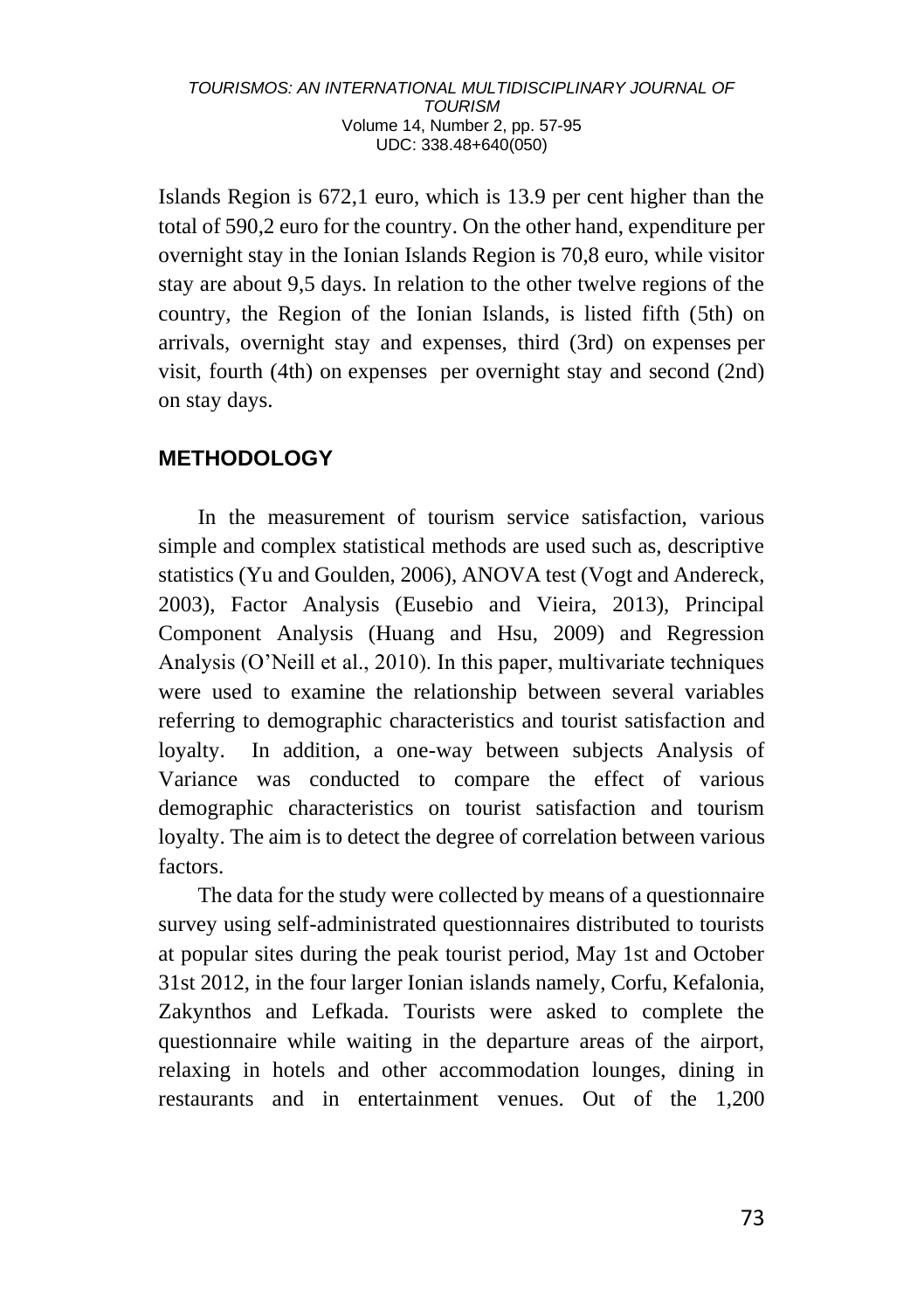Islands Region is 672,1 euro, which is 13.9 per cent higher than the total of 590,2 euro for the country. On the other hand, expenditure per overnight stay in the Ionian Islands Region is 70,8 euro, while visitor stay are about 9,5 days. In relation to the other twelve regions of the country, the Region of the Ionian Islands, is listed fifth (5th) on arrivals, overnight stay and expenses, third (3rd) on expenses per visit, fourth (4th) on expenses per overnight stay and second (2nd) on stay days.

# **METHODOLOGY**

In the measurement of tourism service satisfaction, various simple and complex statistical methods are used such as, descriptive statistics (Yu and Goulden, 2006), ANOVA test (Vogt and Andereck, 2003), Factor Analysis (Eusebio and Vieira, 2013), Principal Component Analysis (Huang and Hsu, 2009) and Regression Analysis (O'Neill et al., 2010). In this paper, multivariate techniques were used to examine the relationship between several variables referring to demographic characteristics and tourist satisfaction and loyalty. In addition, a one-way between subjects Analysis of Variance was conducted to compare the effect of various demographic characteristics on tourist satisfaction and tourism loyalty. The aim is to detect the degree of correlation between various factors.

The data for the study were collected by means of a questionnaire survey using self-administrated questionnaires distributed to tourists at popular sites during the peak tourist period, May 1st and October 31st 2012, in the four larger Ionian islands namely, Corfu, Kefalonia, Zakynthos and Lefkada. Tourists were asked to complete the questionnaire while waiting in the departure areas of the airport, relaxing in hotels and other accommodation lounges, dining in restaurants and in entertainment venues. Out of the 1,200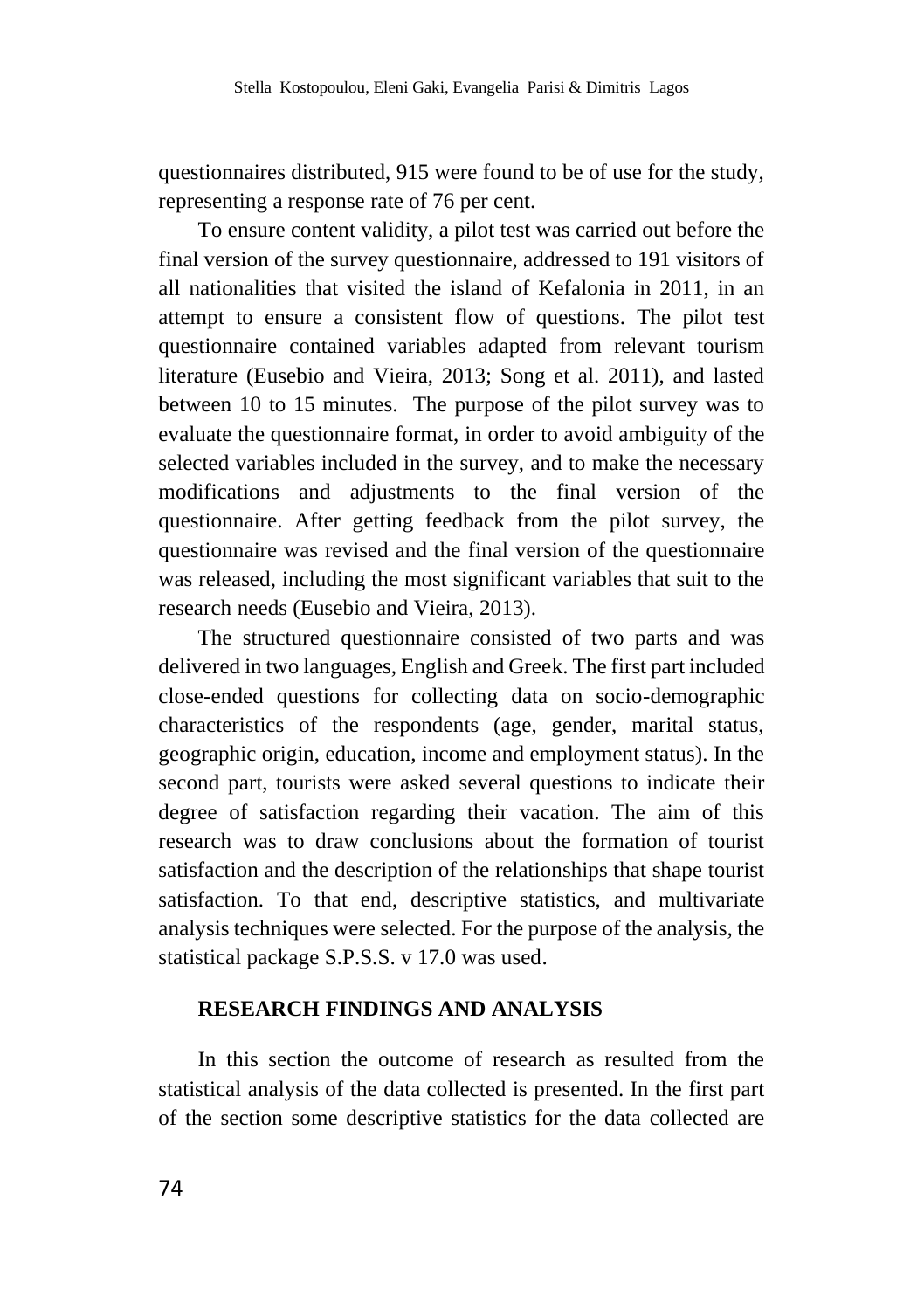questionnaires distributed, 915 were found to be of use for the study, representing a response rate of 76 per cent.

To ensure content validity, a pilot test was carried out before the final version of the survey questionnaire, addressed to 191 visitors of all nationalities that visited the island of Kefalonia in 2011, in an attempt to ensure a consistent flow of questions. The pilot test questionnaire contained variables adapted from relevant tourism literature (Eusebio and Vieira, 2013; Song et al. 2011), and lasted between 10 to 15 minutes. The purpose of the pilot survey was to evaluate the questionnaire format, in order to avoid ambiguity of the selected variables included in the survey, and to make the necessary modifications and adjustments to the final version of the questionnaire. After getting feedback from the pilot survey, the questionnaire was revised and the final version of the questionnaire was released, including the most significant variables that suit to the research needs (Eusebio and Vieira, 2013).

The structured questionnaire consisted of two parts and was delivered in two languages, English and Greek. The first part included close-ended questions for collecting data on socio-demographic characteristics of the respondents (age, gender, marital status, geographic origin, education, income and employment status). In the second part, tourists were asked several questions to indicate their degree of satisfaction regarding their vacation. The aim of this research was to draw conclusions about the formation of tourist satisfaction and the description of the relationships that shape tourist satisfaction. To that end, descriptive statistics, and multivariate analysis techniques were selected. For the purpose of the analysis, the statistical package S.P.S.S. v 17.0 was used.

### **RESEARCH FINDINGS AND ANALYSIS**

In this section the outcome of research as resulted from the statistical analysis of the data collected is presented. In the first part of the section some descriptive statistics for the data collected are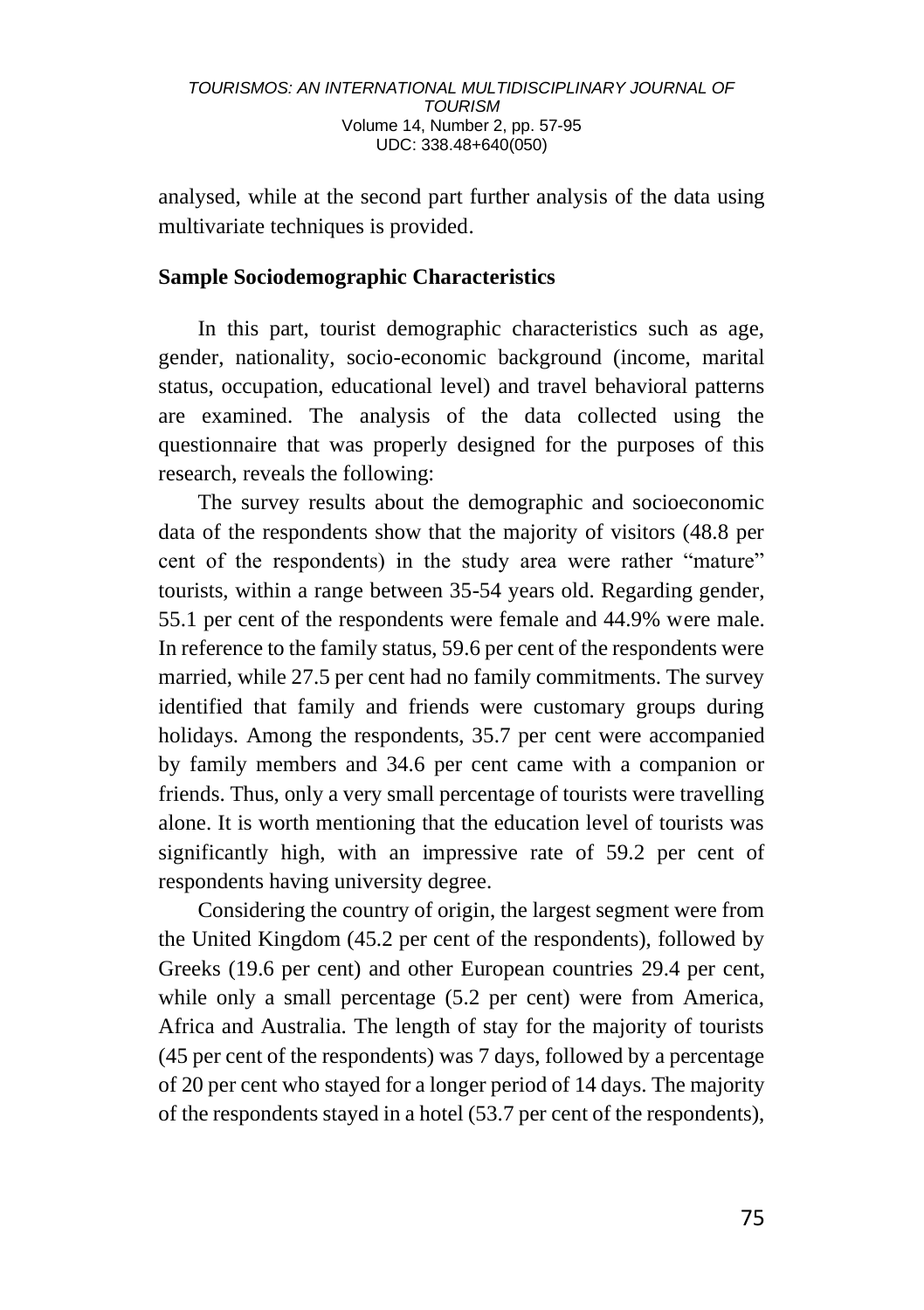analysed, while at the second part further analysis of the data using multivariate techniques is provided.

### **Sample Sociodemographic Characteristics**

In this part, tourist demographic characteristics such as age, gender, nationality, socio-economic background (income, marital status, occupation, educational level) and travel behavioral patterns are examined. The analysis of the data collected using the questionnaire that was properly designed for the purposes of this research, reveals the following:

The survey results about the demographic and socioeconomic data of the respondents show that the majority of visitors (48.8 per cent of the respondents) in the study area were rather "mature" tourists, within a range between 35-54 years old. Regarding gender, 55.1 per cent of the respondents were female and 44.9% were male. In reference to the family status, 59.6 per cent of the respondents were married, while 27.5 per cent had no family commitments. The survey identified that family and friends were customary groups during holidays. Among the respondents, 35.7 per cent were accompanied by family members and 34.6 per cent came with a companion or friends. Thus, only a very small percentage of tourists were travelling alone. It is worth mentioning that the education level of tourists was significantly high, with an impressive rate of 59.2 per cent of respondents having university degree.

Considering the country of origin, the largest segment were from the United Kingdom (45.2 per cent of the respondents), followed by Greeks (19.6 per cent) and other European countries 29.4 per cent, while only a small percentage (5.2 per cent) were from America, Africa and Australia. The length of stay for the majority of tourists (45 per cent of the respondents) was 7 days, followed by a percentage of 20 per cent who stayed for a longer period of 14 days. The majority of the respondents stayed in a hotel (53.7 per cent of the respondents),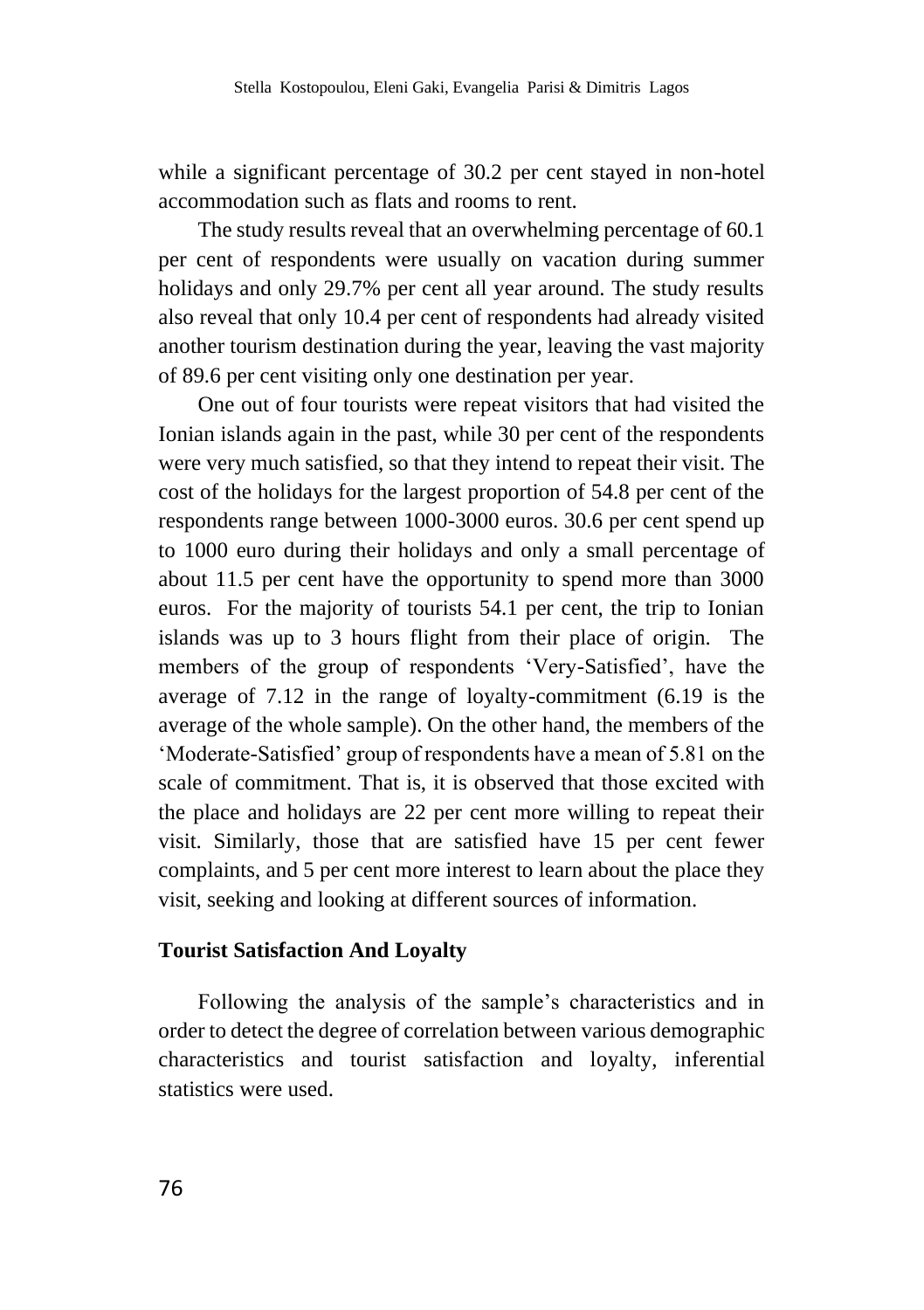while a significant percentage of 30.2 per cent stayed in non-hotel accommodation such as flats and rooms to rent.

The study results reveal that an overwhelming percentage of 60.1 per cent of respondents were usually on vacation during summer holidays and only 29.7% per cent all year around. The study results also reveal that only 10.4 per cent of respondents had already visited another tourism destination during the year, leaving the vast majority of 89.6 per cent visiting only one destination per year.

One out of four tourists were repeat visitors that had visited the Ionian islands again in the past, while 30 per cent of the respondents were very much satisfied, so that they intend to repeat their visit. The cost of the holidays for the largest proportion of 54.8 per cent of the respondents range between 1000-3000 euros. 30.6 per cent spend up to 1000 euro during their holidays and only a small percentage of about 11.5 per cent have the opportunity to spend more than 3000 euros. For the majority of tourists 54.1 per cent, the trip to Ionian islands was up to 3 hours flight from their place of origin. The members of the group of respondents 'Very-Satisfied', have the average of 7.12 in the range of loyalty-commitment (6.19 is the average of the whole sample). On the other hand, the members of the 'Moderate-Satisfied' group of respondents have a mean of 5.81 on the scale of commitment. That is, it is observed that those excited with the place and holidays are 22 per cent more willing to repeat their visit. Similarly, those that are satisfied have 15 per cent fewer complaints, and 5 per cent more interest to learn about the place they visit, seeking and looking at different sources of information.

### **Tourist Satisfaction And Loyalty**

Following the analysis of the sample's characteristics and in order to detect the degree of correlation between various demographic characteristics and tourist satisfaction and loyalty, inferential statistics were used.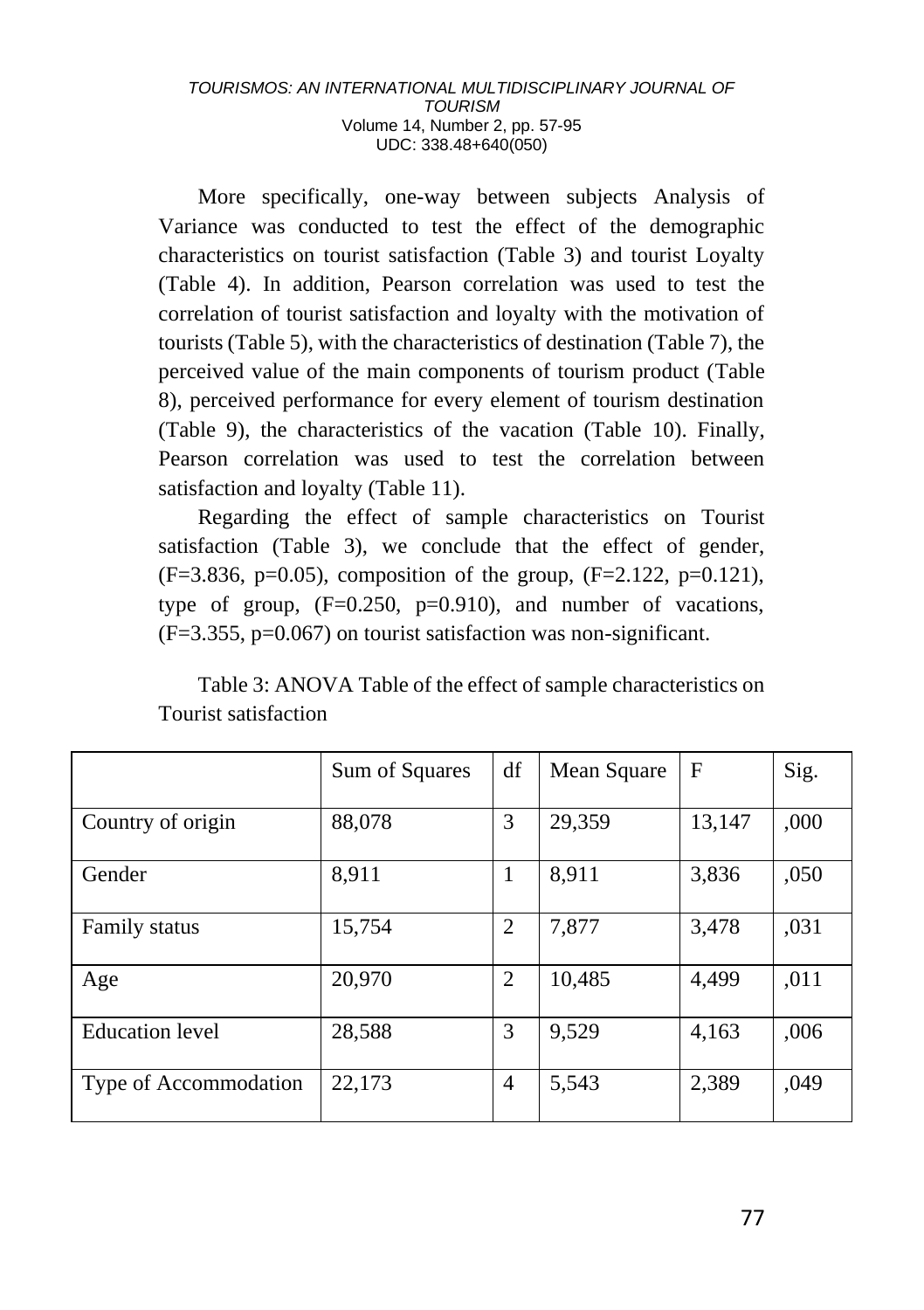More specifically, one-way between subjects Analysis of Variance was conducted to test the effect of the demographic characteristics on tourist satisfaction (Table 3) and tourist Loyalty (Table 4). In addition, Pearson correlation was used to test the correlation of tourist satisfaction and loyalty with the motivation of tourists (Table 5), with the characteristics of destination (Table 7), the perceived value of the main components of tourism product (Table 8), perceived performance for every element of tourism destination (Table 9), the characteristics of the vacation (Table 10). Finally, Pearson correlation was used to test the correlation between satisfaction and loyalty (Table 11).

Regarding the effect of sample characteristics on Tourist satisfaction (Table 3), we conclude that the effect of gender,  $(F=3.836, p=0.05)$ , composition of the group,  $(F=2.122, p=0.121)$ , type of group, (F=0.250, p=0.910), and number of vacations,  $(F=3.355, p=0.067)$  on tourist satisfaction was non-significant.

| Table 3: ANOVA Table of the effect of sample characteristics on |
|-----------------------------------------------------------------|
| Tourist satisfaction                                            |

|                        | Sum of Squares | df | Mean Square | $\mathbf F$ | Sig. |
|------------------------|----------------|----|-------------|-------------|------|
| Country of origin      | 88,078         | 3  | 29,359      | 13,147      | ,000 |
| Gender                 | 8,911          | 1  | 8,911       | 3,836       | ,050 |
| Family status          | 15,754         | 2  | 7,877       | 3,478       | ,031 |
| Age                    | 20,970         | 2  | 10,485      | 4.499       | ,011 |
| <b>Education</b> level | 28,588         | 3  | 9,529       | 4,163       | ,006 |
| Type of Accommodation  | 22,173         | 4  | 5,543       | 2,389       | ,049 |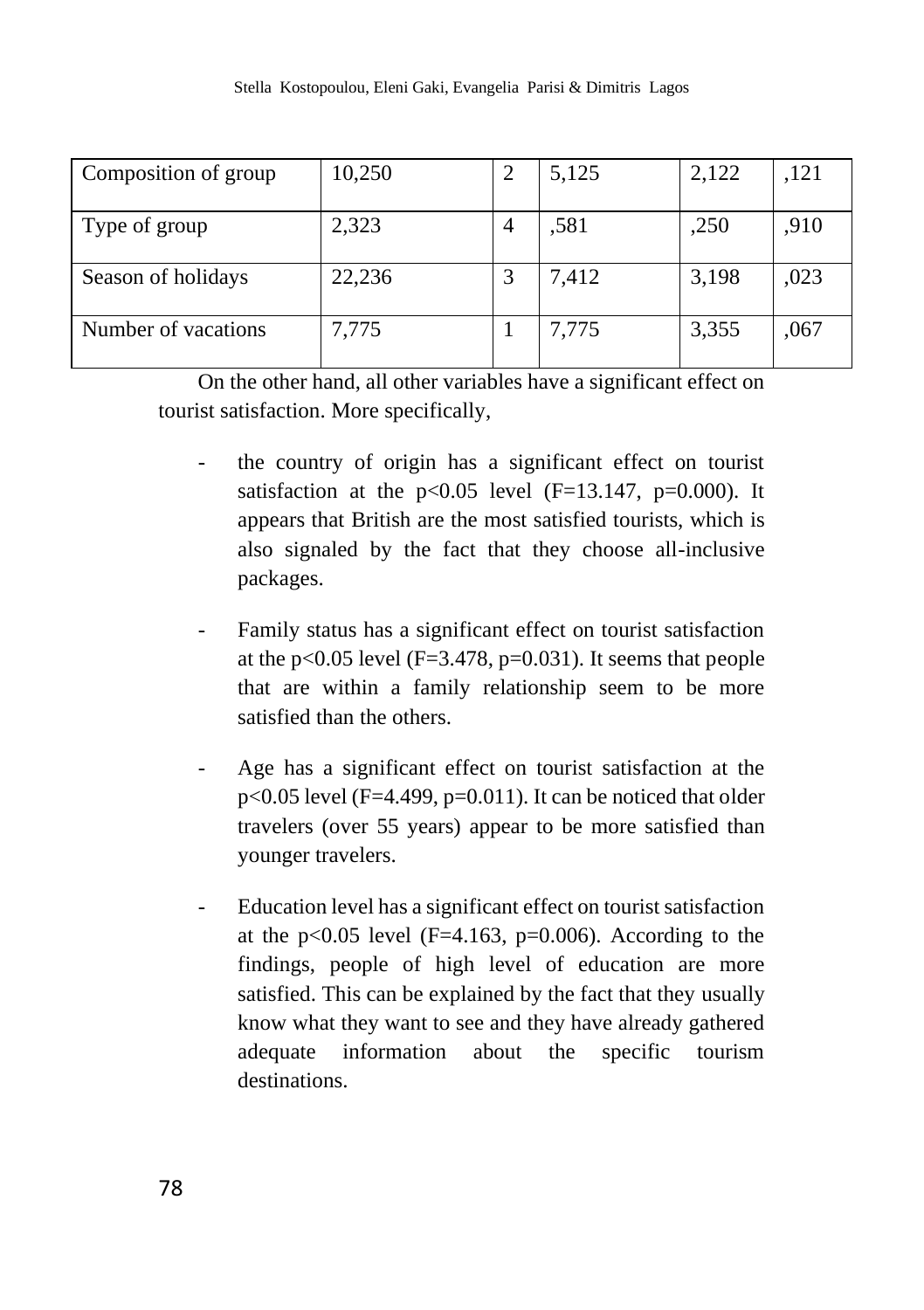| Composition of group | 10,250 |   | 5,125 | 2,122 | .121 |
|----------------------|--------|---|-------|-------|------|
| Type of group        | 2,323  | 4 | ,581  | ,250  | ,910 |
| Season of holidays   | 22,236 |   | 7,412 | 3,198 | ,023 |
| Number of vacations  | 7,775  |   | 7,775 | 3,355 | ,067 |

On the other hand, all other variables have a significant effect on tourist satisfaction. More specifically,

- the country of origin has a significant effect on tourist satisfaction at the  $p<0.05$  level (F=13.147,  $p=0.000$ ). It appears that British are the most satisfied tourists, which is also signaled by the fact that they choose all-inclusive packages.
- Family status has a significant effect on tourist satisfaction at the p<0.05 level ( $F=3.478$ , p=0.031). It seems that people that are within a family relationship seem to be more satisfied than the others.
- Age has a significant effect on tourist satisfaction at the  $p<0.05$  level (F=4.499,  $p=0.011$ ). It can be noticed that older travelers (over 55 years) appear to be more satisfied than younger travelers.
- Education level has a significant effect on tourist satisfaction at the  $p<0.05$  level (F=4.163,  $p=0.006$ ). According to the findings, people of high level of education are more satisfied. This can be explained by the fact that they usually know what they want to see and they have already gathered adequate information about the specific tourism destinations.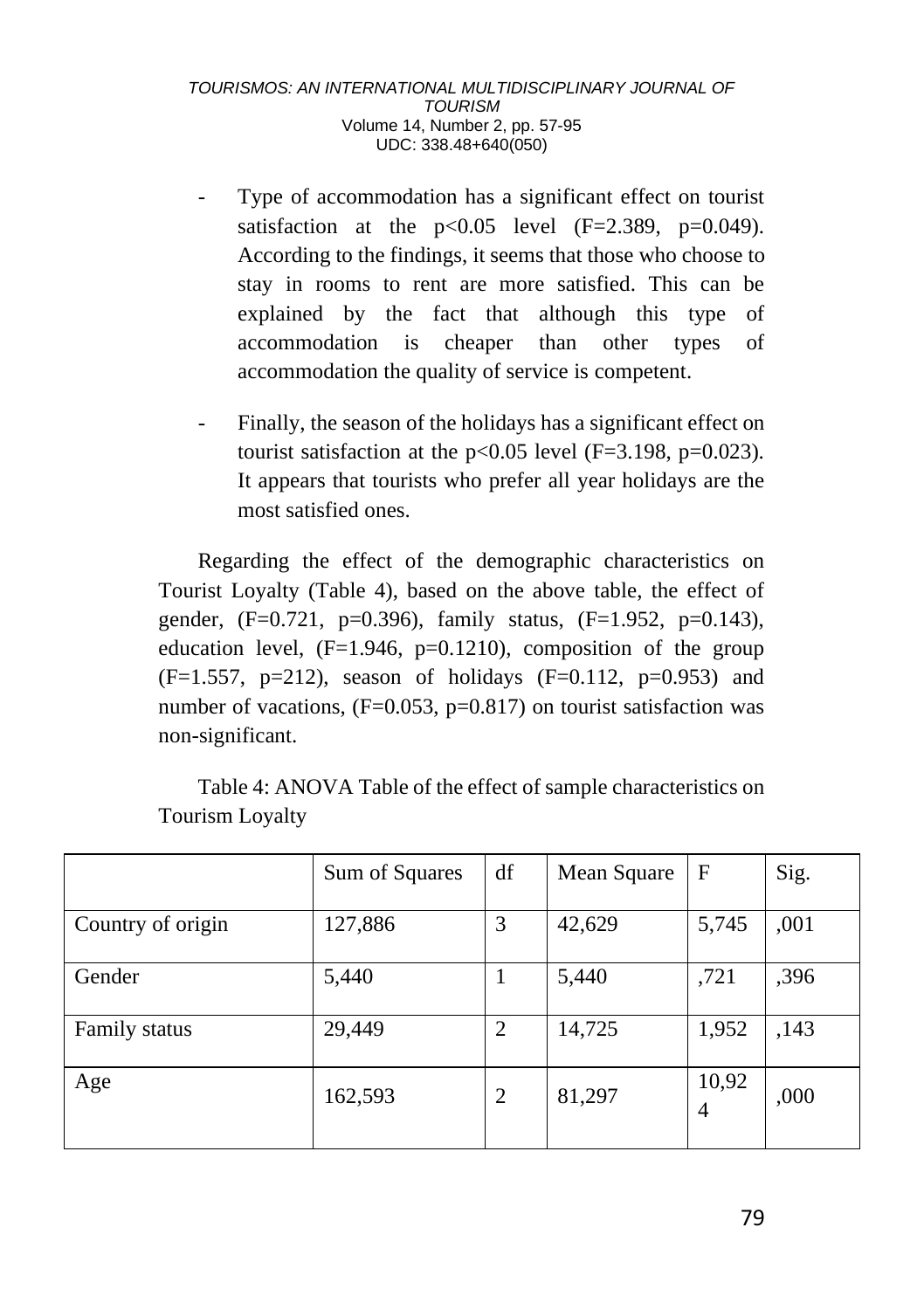- Type of accommodation has a significant effect on tourist satisfaction at the  $p<0.05$  level (F=2.389, p=0.049). According to the findings, it seems that those who choose to stay in rooms to rent are more satisfied. This can be explained by the fact that although this type of accommodation is cheaper than other types of accommodation the quality of service is competent.
- Finally, the season of the holidays has a significant effect on tourist satisfaction at the  $p<0.05$  level (F=3.198,  $p=0.023$ ). It appears that tourists who prefer all year holidays are the most satisfied ones.

Regarding the effect of the demographic characteristics on Tourist Loyalty (Table 4), based on the above table, the effect of gender, (F=0.721, p=0.396), family status, (F=1.952, p=0.143), education level,  $(F=1.946, p=0.1210)$ , composition of the group  $(F=1.557, p=212)$ , season of holidays  $(F=0.112, p=0.953)$  and number of vacations,  $(F=0.053, p=0.817)$  on tourist satisfaction was non-significant.

|                   | Sum of Squares | df | Mean Square | $\mathbf F$             | Sig. |
|-------------------|----------------|----|-------------|-------------------------|------|
| Country of origin | 127,886        | 3  | 42,629      | 5,745                   | ,001 |
| Gender            | 5,440          |    | 5,440       | ,721                    | ,396 |
| Family status     | 29,449         | 2  | 14,725      | 1,952                   | ,143 |
| Age               | 162,593        | 2  | 81,297      | 10,92<br>$\overline{4}$ | ,000 |

Table 4: ANOVA Table of the effect of sample characteristics on Tourism Loyalty

79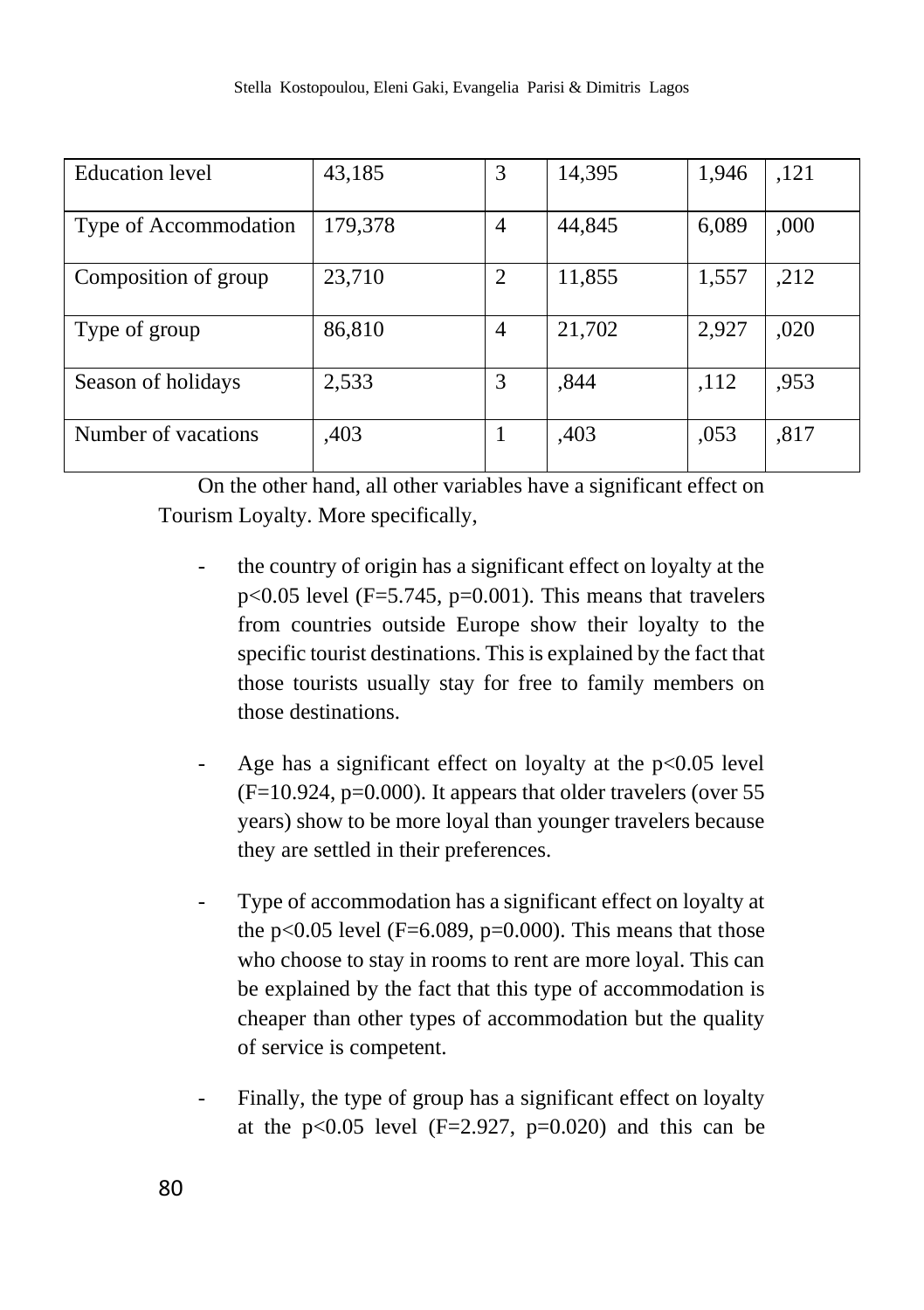| <b>Education</b> level | 43,185  | 3 | 14,395 | 1,946 | ,121 |
|------------------------|---------|---|--------|-------|------|
|                        |         |   |        |       |      |
| Type of Accommodation  | 179,378 | 4 | 44,845 | 6,089 | ,000 |
|                        |         |   |        |       |      |
| Composition of group   | 23,710  | 2 | 11,855 | 1,557 | ,212 |
|                        |         |   |        |       |      |
| Type of group          | 86,810  | 4 | 21,702 | 2,927 | ,020 |
|                        |         |   |        |       |      |
| Season of holidays     | 2,533   | 3 | .844   | ,112  | ,953 |
|                        |         |   |        |       |      |
| Number of vacations    | ,403    |   | ,403   | ,053  | .817 |
|                        |         |   |        |       |      |

On the other hand, all other variables have a significant effect on Tourism Loyalty. More specifically,

- the country of origin has a significant effect on loyalty at the  $p<0.05$  level (F=5.745,  $p=0.001$ ). This means that travelers from countries outside Europe show their loyalty to the specific tourist destinations. This is explained by the fact that those tourists usually stay for free to family members on those destinations.
- Age has a significant effect on loyalty at the  $p<0.05$  level  $(F=10.924, p=0.000)$ . It appears that older travelers (over 55 years) show to be more loyal than younger travelers because they are settled in their preferences.
- Type of accommodation has a significant effect on loyalty at the p<0.05 level ( $F=6.089$ , p=0.000). This means that those who choose to stay in rooms to rent are more loyal. This can be explained by the fact that this type of accommodation is cheaper than other types of accommodation but the quality of service is competent.
- Finally, the type of group has a significant effect on loyalty at the  $p<0.05$  level (F=2.927,  $p=0.020$ ) and this can be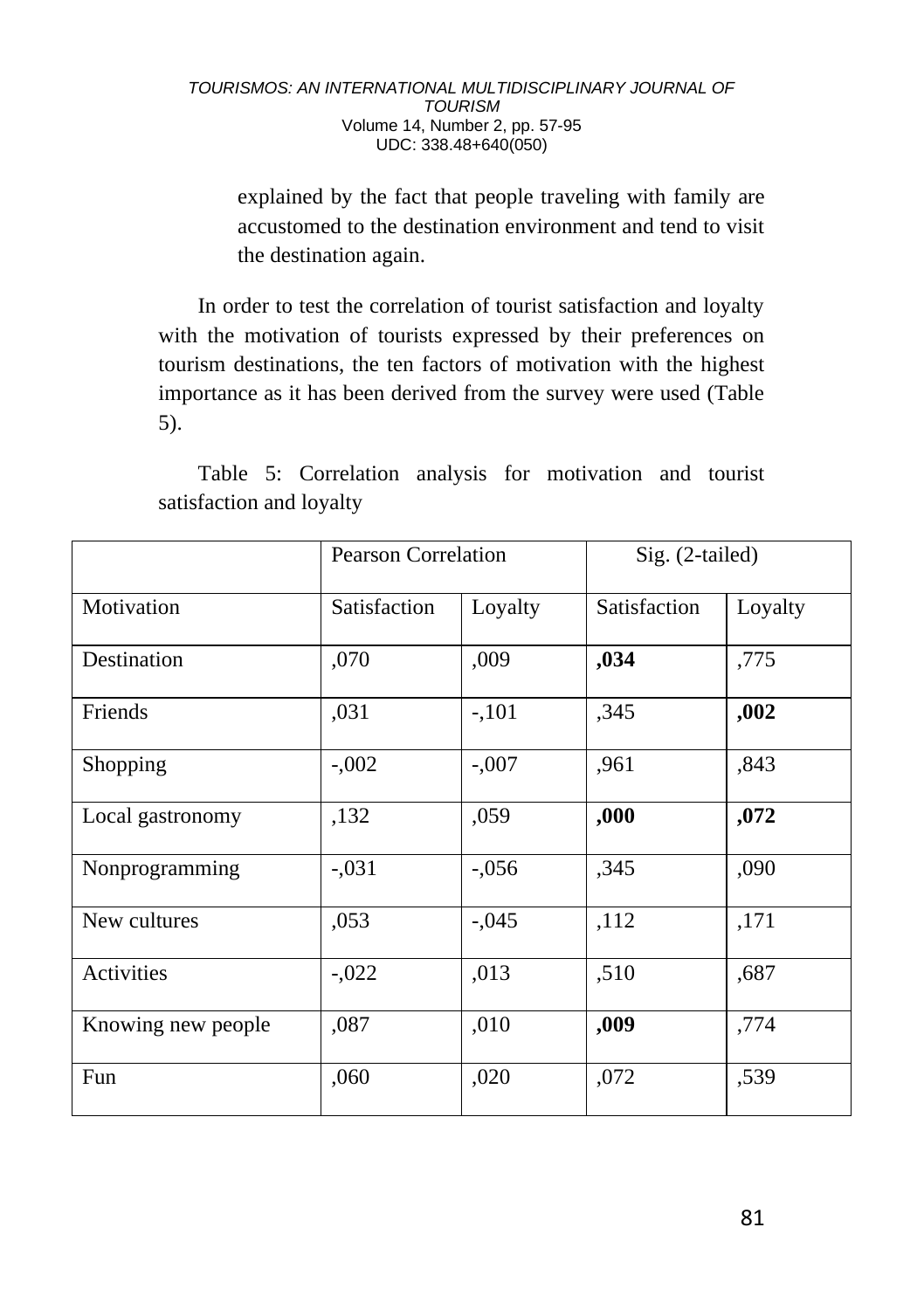explained by the fact that people traveling with family are accustomed to the destination environment and tend to visit the destination again.

In order to test the correlation of tourist satisfaction and loyalty with the motivation of tourists expressed by their preferences on tourism destinations, the ten factors of motivation with the highest importance as it has been derived from the survey were used (Table 5).

Table 5: Correlation analysis for motivation and tourist satisfaction and loyalty

|                    | <b>Pearson Correlation</b> |         | Sig. (2-tailed) |         |
|--------------------|----------------------------|---------|-----------------|---------|
| Motivation         | Satisfaction               | Loyalty | Satisfaction    | Loyalty |
| Destination        | ,070                       | ,009    | ,034            | ,775    |
| Friends            | ,031                       | $-101$  | ,345            | ,002    |
| Shopping           | $-.002$                    | $-.007$ | ,961            | ,843    |
| Local gastronomy   | ,132                       | ,059    | ,000            | ,072    |
| Nonprogramming     | $-.031$                    | $-.056$ | ,345            | ,090    |
| New cultures       | ,053                       | $-.045$ | ,112            | ,171    |
| Activities         | $-.022$                    | ,013    | ,510            | ,687    |
| Knowing new people | ,087                       | ,010    | ,009            | ,774    |
| Fun                | ,060                       | ,020    | ,072            | ,539    |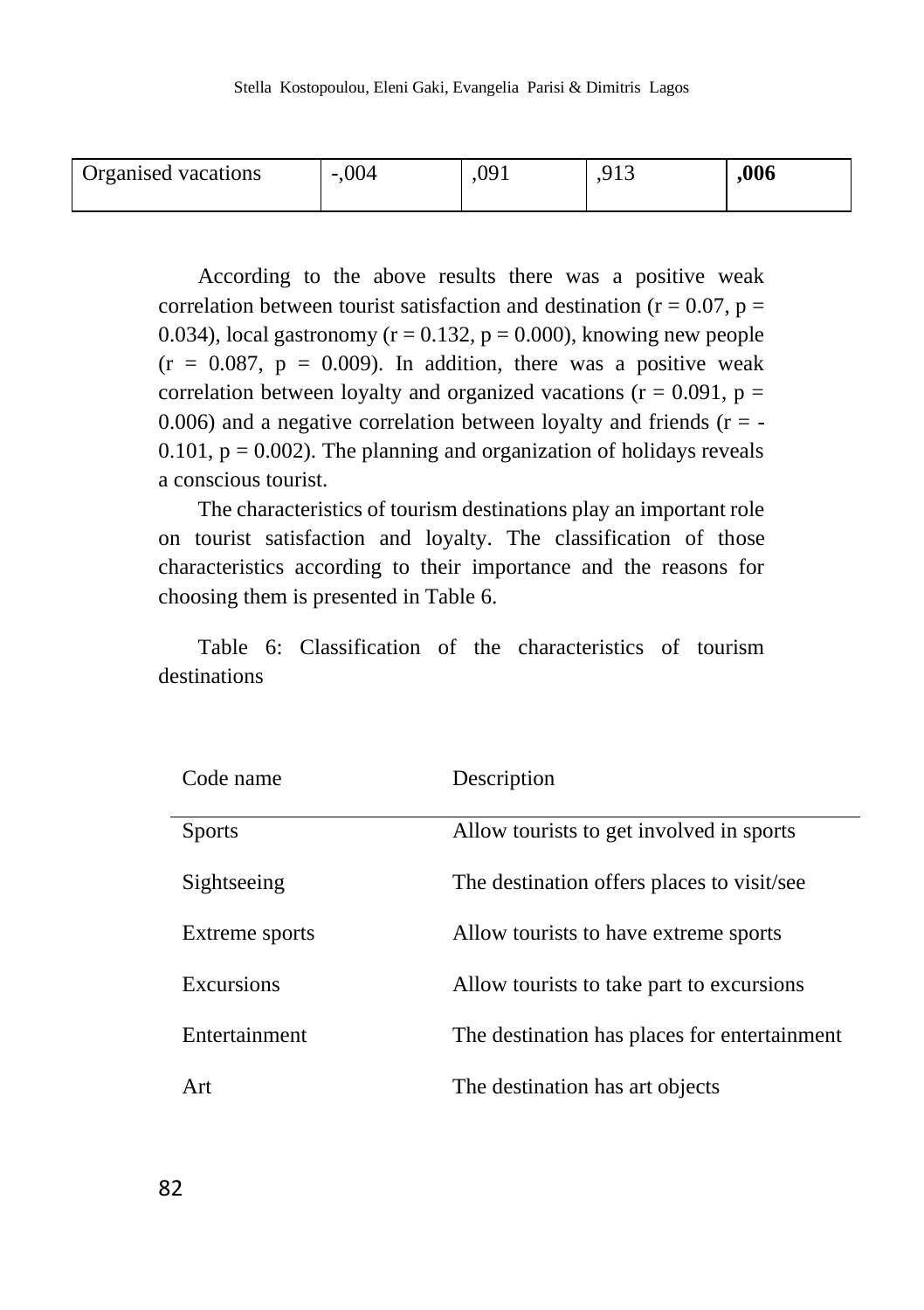| Organised vacations | ,004<br>$\sim$ | na<br>.v. 1 | . . | .006 |
|---------------------|----------------|-------------|-----|------|
|                     |                |             |     |      |

According to the above results there was a positive weak correlation between tourist satisfaction and destination ( $r = 0.07$ ,  $p =$ 0.034), local gastronomy ( $r = 0.132$ ,  $p = 0.000$ ), knowing new people  $(r = 0.087, p = 0.009)$ . In addition, there was a positive weak correlation between loyalty and organized vacations ( $r = 0.091$ ,  $p =$ 0.006) and a negative correlation between loyalty and friends  $(r = -1)$ 0.101,  $p = 0.002$ ). The planning and organization of holidays reveals a conscious tourist.

The characteristics of tourism destinations play an important role on tourist satisfaction and loyalty. The classification of those characteristics according to their importance and the reasons for choosing them is presented in Table 6.

Table 6: Classification of the characteristics of tourism destinations

| Code name      | Description                                  |
|----------------|----------------------------------------------|
| <b>Sports</b>  | Allow tourists to get involved in sports     |
| Sightseeing    | The destination offers places to visit/see   |
| Extreme sports | Allow tourists to have extreme sports        |
| Excursions     | Allow tourists to take part to excursions    |
| Entertainment  | The destination has places for entertainment |
| Art            | The destination has art objects              |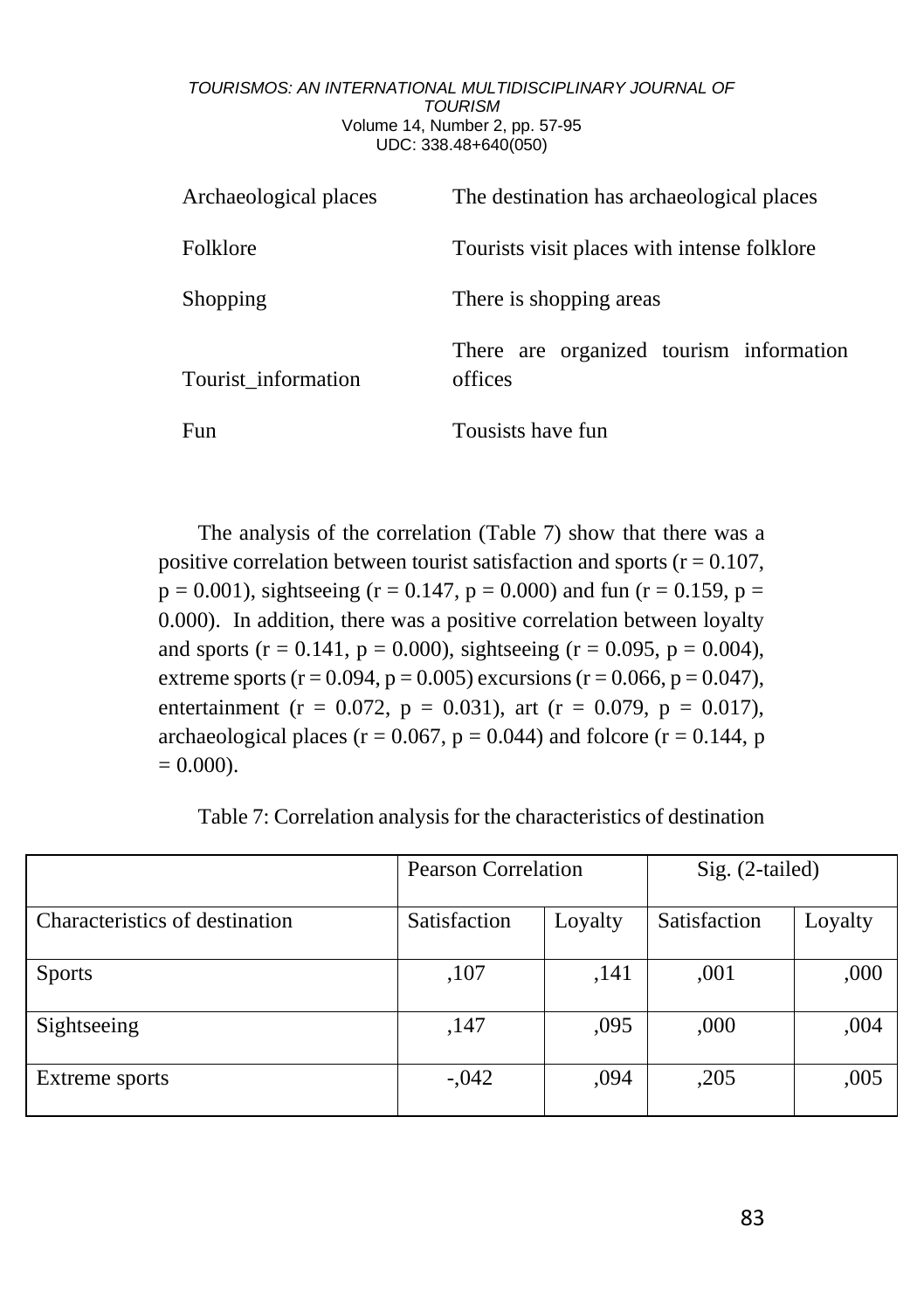| Archaeological places | The destination has archaeological places          |  |
|-----------------------|----------------------------------------------------|--|
| Folklore              | Tourists visit places with intense folklore        |  |
| Shopping              | There is shopping areas                            |  |
| Tourist_information   | There are organized tourism information<br>offices |  |
| Fun                   | Tousists have fun                                  |  |

The analysis of the correlation (Table 7) show that there was a positive correlation between tourist satisfaction and sports ( $r = 0.107$ ,  $p = 0.001$ ), sightseeing (r = 0.147, p = 0.000) and fun (r = 0.159, p = 0.000). In addition, there was a positive correlation between loyalty and sports ( $r = 0.141$ ,  $p = 0.000$ ), sightseeing ( $r = 0.095$ ,  $p = 0.004$ ), extreme sports ( $r = 0.094$ ,  $p = 0.005$ ) excursions ( $r = 0.066$ ,  $p = 0.047$ ). entertainment (r = 0.072, p = 0.031), art (r = 0.079, p = 0.017), archaeological places ( $r = 0.067$ ,  $p = 0.044$ ) and folcore ( $r = 0.144$ , p  $= 0.000$ .

Table 7: Correlation analysis for the characteristics of destination

|                                | Pearson Correlation |         | $Sig. (2-tailed)$ |         |
|--------------------------------|---------------------|---------|-------------------|---------|
| Characteristics of destination | Satisfaction        | Loyalty | Satisfaction      | Loyalty |
| <b>Sports</b>                  | ,107                | ,141    | ,001              | ,000    |
| Sightseeing                    | ,147                | ,095    | ,000              | ,004    |
| Extreme sports                 | $-.042$             | .094    | ,205              | ,005    |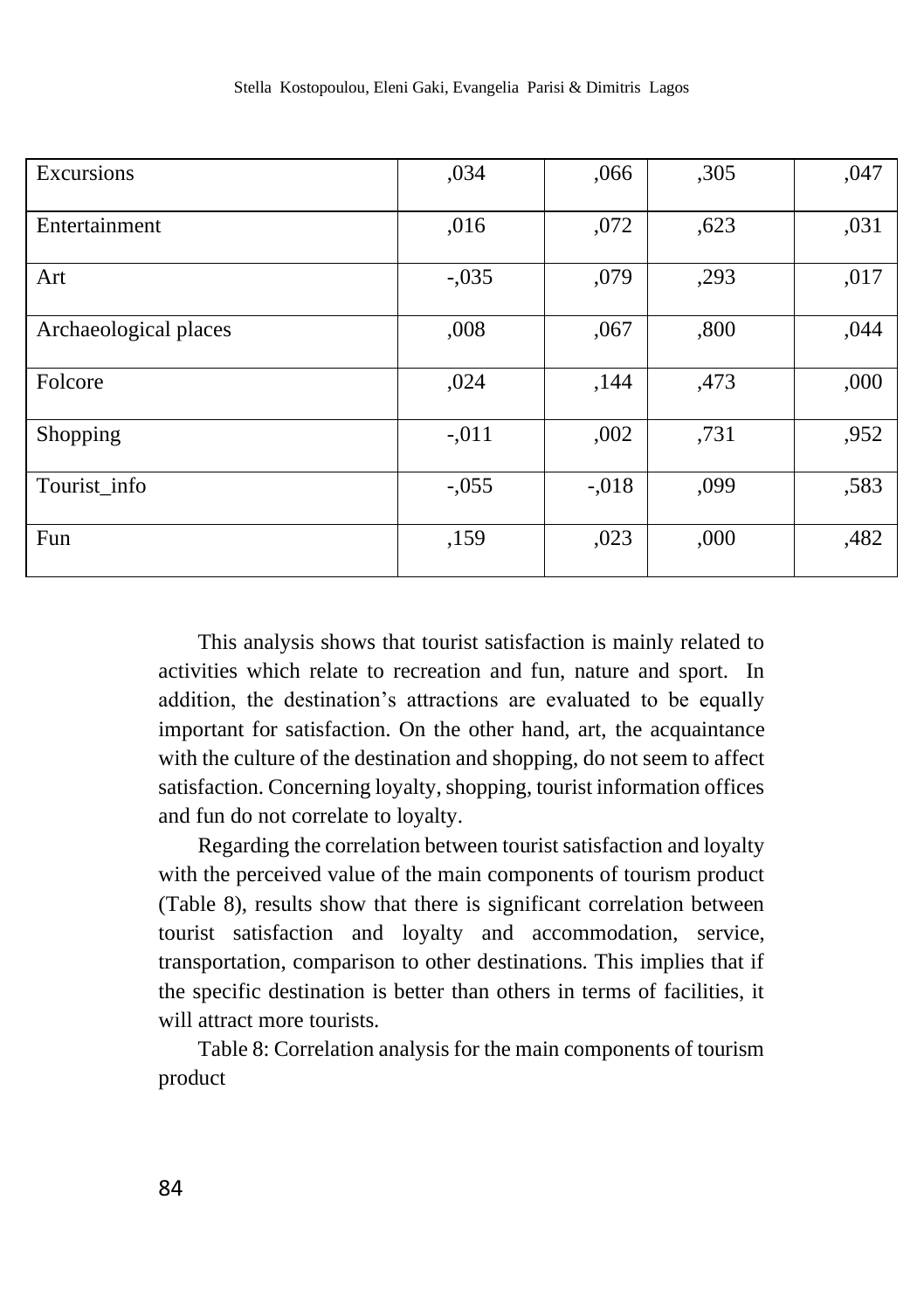| Excursions            | ,034    | ,066     | ,305 | ,047 |
|-----------------------|---------|----------|------|------|
| Entertainment         | ,016    | ,072     | ,623 | ,031 |
| Art                   | $-.035$ | ,079     | ,293 | ,017 |
| Archaeological places | ,008    | ,067     | ,800 | ,044 |
| Folcore               | ,024    | ,144     | ,473 | ,000 |
| Shopping              | $-.011$ | ,002     | ,731 | ,952 |
| Tourist_info          | $-.055$ | $-0.018$ | ,099 | ,583 |
| Fun                   | ,159    | ,023     | ,000 | ,482 |

This analysis shows that tourist satisfaction is mainly related to activities which relate to recreation and fun, nature and sport. In addition, the destination's attractions are evaluated to be equally important for satisfaction. On the other hand, art, the acquaintance with the culture of the destination and shopping, do not seem to affect satisfaction. Concerning loyalty, shopping, tourist information offices and fun do not correlate to loyalty.

Regarding the correlation between tourist satisfaction and loyalty with the perceived value of the main components of tourism product (Table 8), results show that there is significant correlation between tourist satisfaction and loyalty and accommodation, service, transportation, comparison to other destinations. This implies that if the specific destination is better than others in terms of facilities, it will attract more tourists.

Table 8: Correlation analysis for the main components of tourism product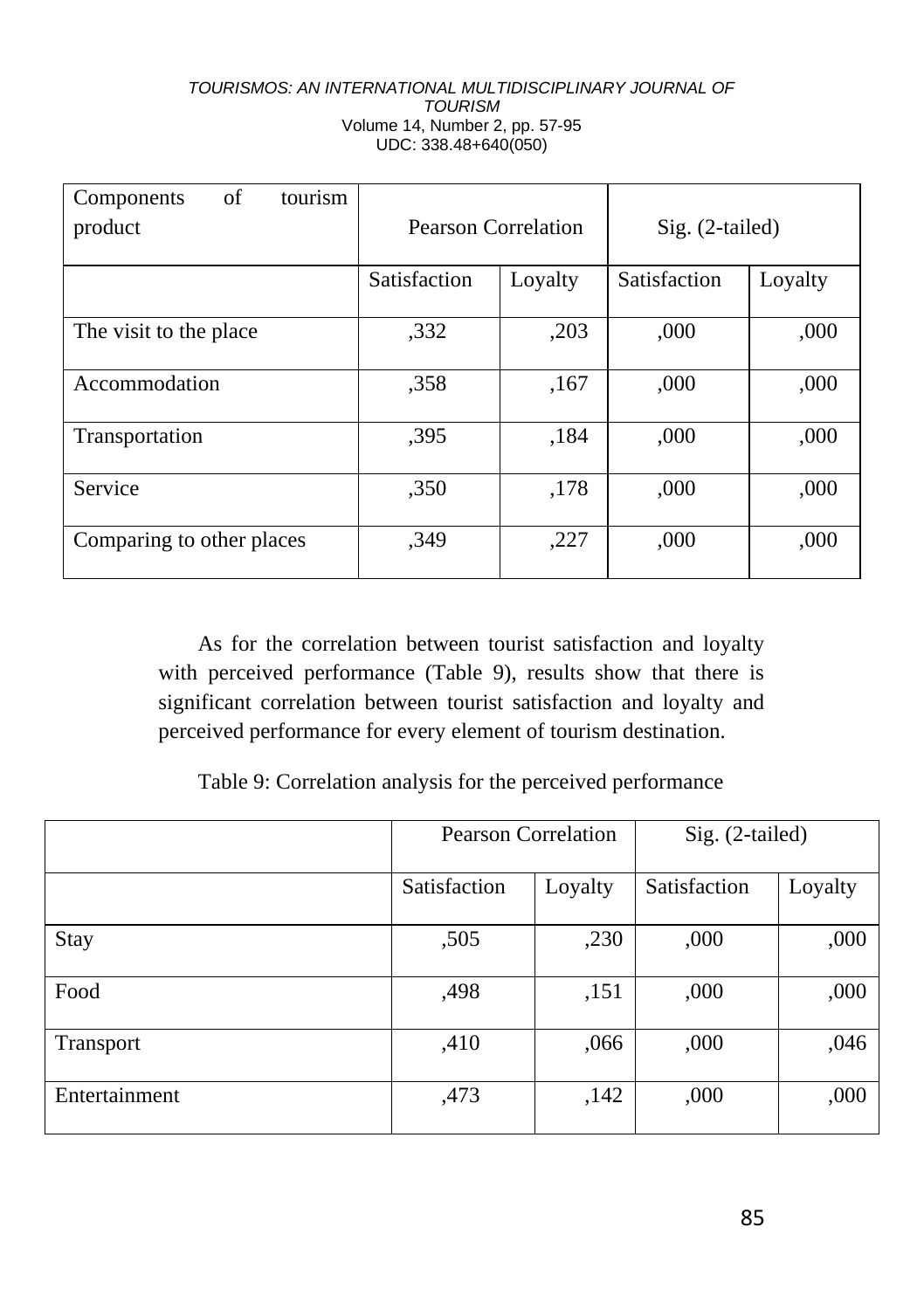| of<br>tourism<br>Components |                     |         |                 |         |
|-----------------------------|---------------------|---------|-----------------|---------|
| product                     | Pearson Correlation |         | Sig. (2-tailed) |         |
|                             |                     |         |                 |         |
|                             | Satisfaction        | Loyalty | Satisfaction    | Loyalty |
|                             |                     |         |                 |         |
| The visit to the place      | ,332                | ,203    | ,000            | ,000    |
|                             |                     |         |                 |         |
| Accommodation               | .358                | ,167    | ,000            | ,000    |
|                             |                     |         |                 |         |
| Transportation              | ,395                | ,184    | ,000            | ,000    |
|                             |                     |         |                 |         |
| Service                     | ,350                | ,178    | ,000            | ,000    |
|                             |                     |         |                 |         |
| Comparing to other places   | ,349                | ,227    | ,000            | ,000    |
|                             |                     |         |                 |         |

As for the correlation between tourist satisfaction and loyalty with perceived performance (Table 9), results show that there is significant correlation between tourist satisfaction and loyalty and perceived performance for every element of tourism destination.

Table 9: Correlation analysis for the perceived performance

|               | <b>Pearson Correlation</b> |         | Sig. (2-tailed) |         |
|---------------|----------------------------|---------|-----------------|---------|
|               | Satisfaction               | Loyalty | Satisfaction    | Loyalty |
| Stay          | ,505                       | ,230    | ,000            | ,000    |
| Food          | ,498                       | ,151    | ,000            | ,000    |
| Transport     | ,410                       | ,066    | ,000            | ,046    |
| Entertainment | ,473                       | ,142    | ,000            | ,000    |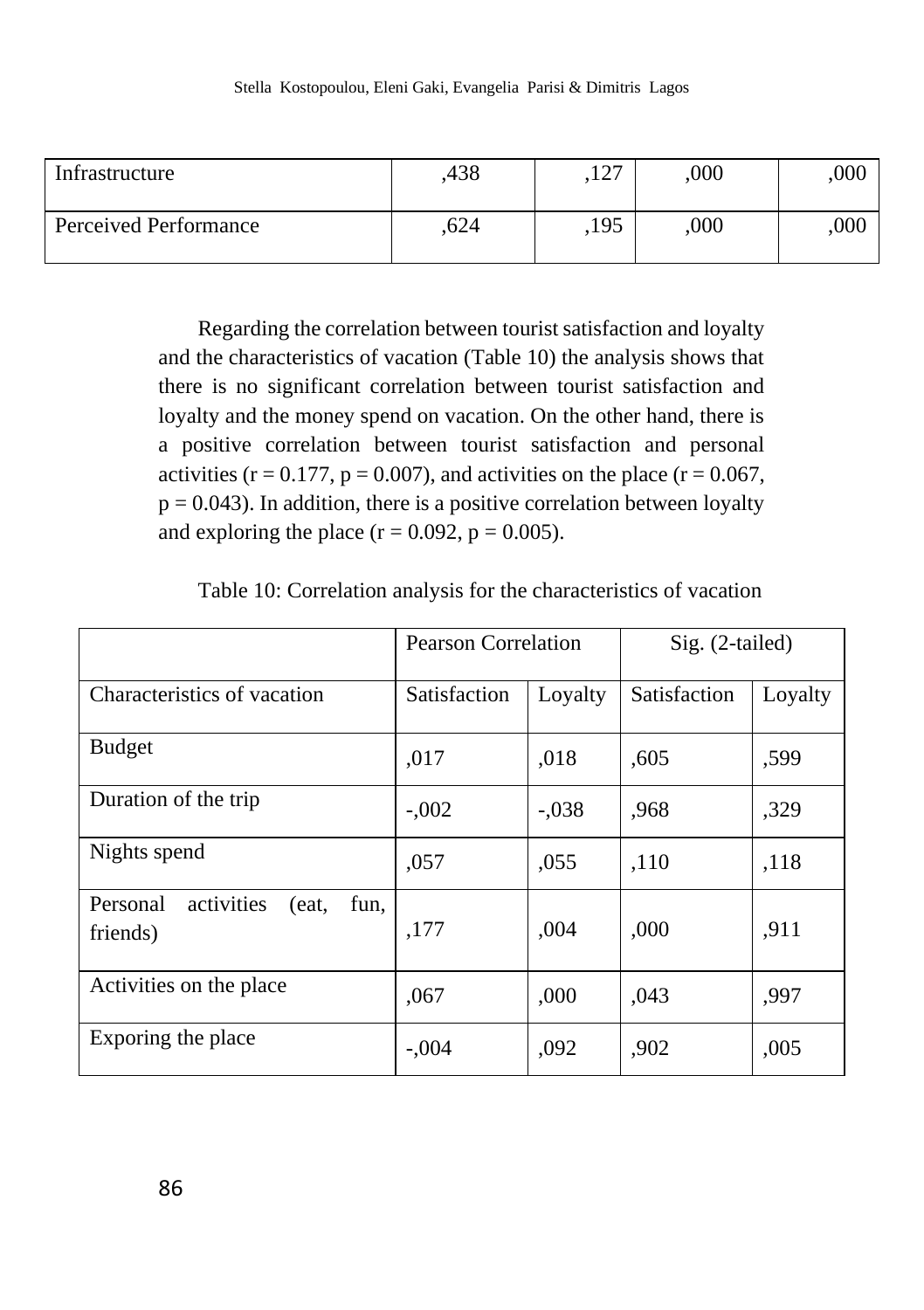| Infrastructure        | .438 | $\sqrt{2}$<br>.14, | .000 | .000 |
|-----------------------|------|--------------------|------|------|
| Perceived Performance | .624 | .195               | 000  | .000 |

Regarding the correlation between tourist satisfaction and loyalty and the characteristics of vacation (Table 10) the analysis shows that there is no significant correlation between tourist satisfaction and loyalty and the money spend on vacation. On the other hand, there is a positive correlation between tourist satisfaction and personal activities ( $r = 0.177$ ,  $p = 0.007$ ), and activities on the place ( $r = 0.067$ ,  $p = 0.043$ ). In addition, there is a positive correlation between loyalty and exploring the place  $(r = 0.092, p = 0.005)$ .

|                                                     | <b>Pearson Correlation</b> |         | Sig. (2-tailed) |         |
|-----------------------------------------------------|----------------------------|---------|-----------------|---------|
| Characteristics of vacation                         | Satisfaction               | Loyalty | Satisfaction    | Loyalty |
| <b>Budget</b>                                       | ,017                       | .018    | ,605            | ,599    |
| Duration of the trip                                | $-.002$                    | $-.038$ | ,968            | ,329    |
| Nights spend                                        | ,057                       | ,055    | ,110            | ,118    |
| activities<br>Personal<br>(eat.<br>fun,<br>friends) | ,177                       | ,004    | ,000            | ,911    |
| Activities on the place                             | ,067                       | ,000    | ,043            | .997    |
| Exporing the place                                  | $-.004$                    | ,092    | .902            | ,005    |

Table 10: Correlation analysis for the characteristics of vacation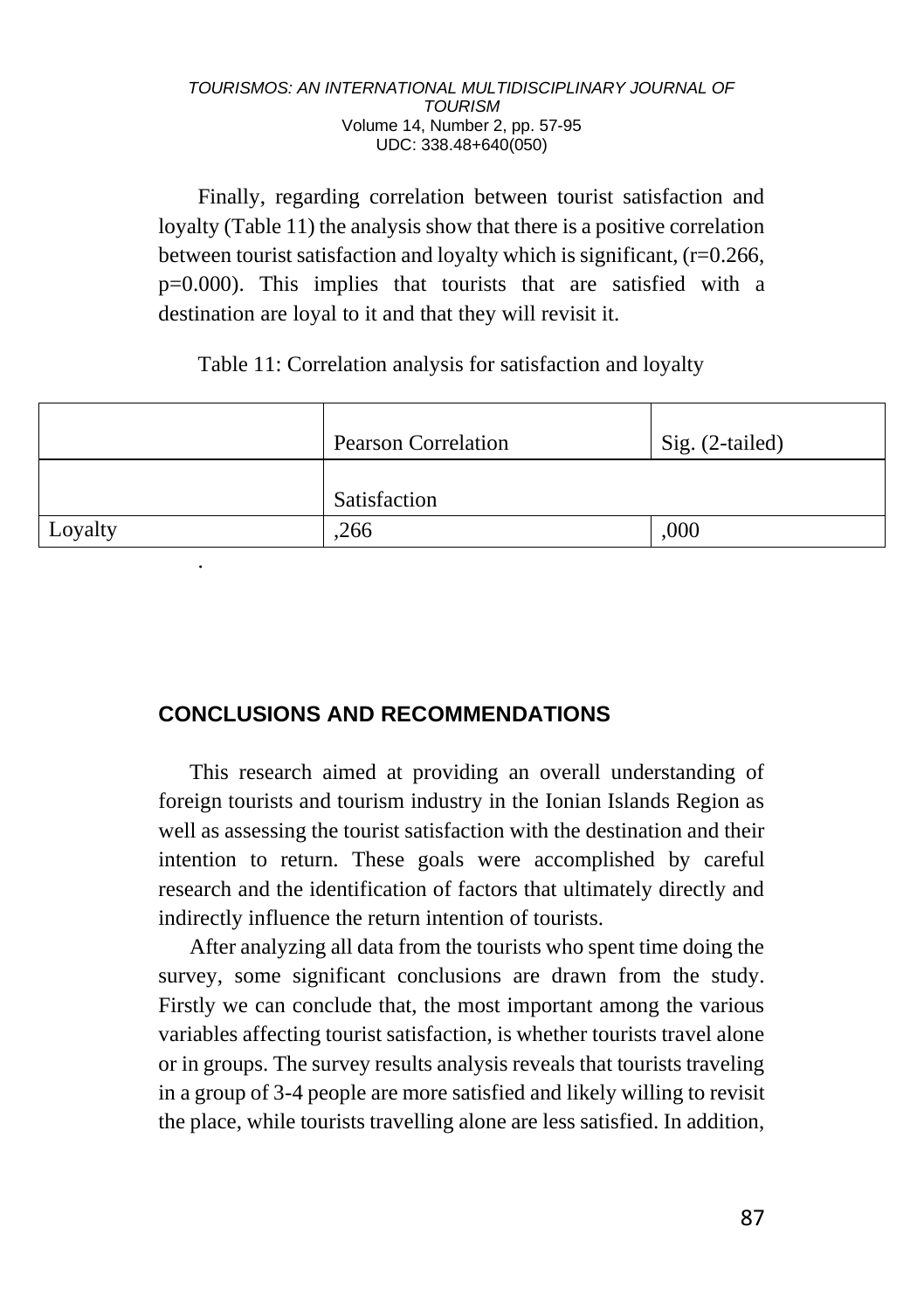Finally, regarding correlation between tourist satisfaction and loyalty (Table 11) the analysis show that there is a positive correlation between tourist satisfaction and loyalty which is significant, (r=0.266, p=0.000). This implies that tourists that are satisfied with a destination are loyal to it and that they will revisit it.

Table 11: Correlation analysis for satisfaction and loyalty

|         | <b>Pearson Correlation</b> | Sig. (2-tailed) |
|---------|----------------------------|-----------------|
|         | Satisfaction               |                 |
| Loyalty | .266                       | ,000            |
| ٠       |                            |                 |

# **CONCLUSIONS AND RECOMMENDATIONS**

This research aimed at providing an overall understanding of foreign tourists and tourism industry in the Ionian Islands Region as well as assessing the tourist satisfaction with the destination and their intention to return. These goals were accomplished by careful research and the identification of factors that ultimately directly and indirectly influence the return intention of tourists.

After analyzing all data from the tourists who spent time doing the survey, some significant conclusions are drawn from the study. Firstly we can conclude that, the most important among the various variables affecting tourist satisfaction, is whether tourists travel alone or in groups. The survey results analysis reveals that tourists traveling in a group of 3-4 people are more satisfied and likely willing to revisit the place, while tourists travelling alone are less satisfied. In addition,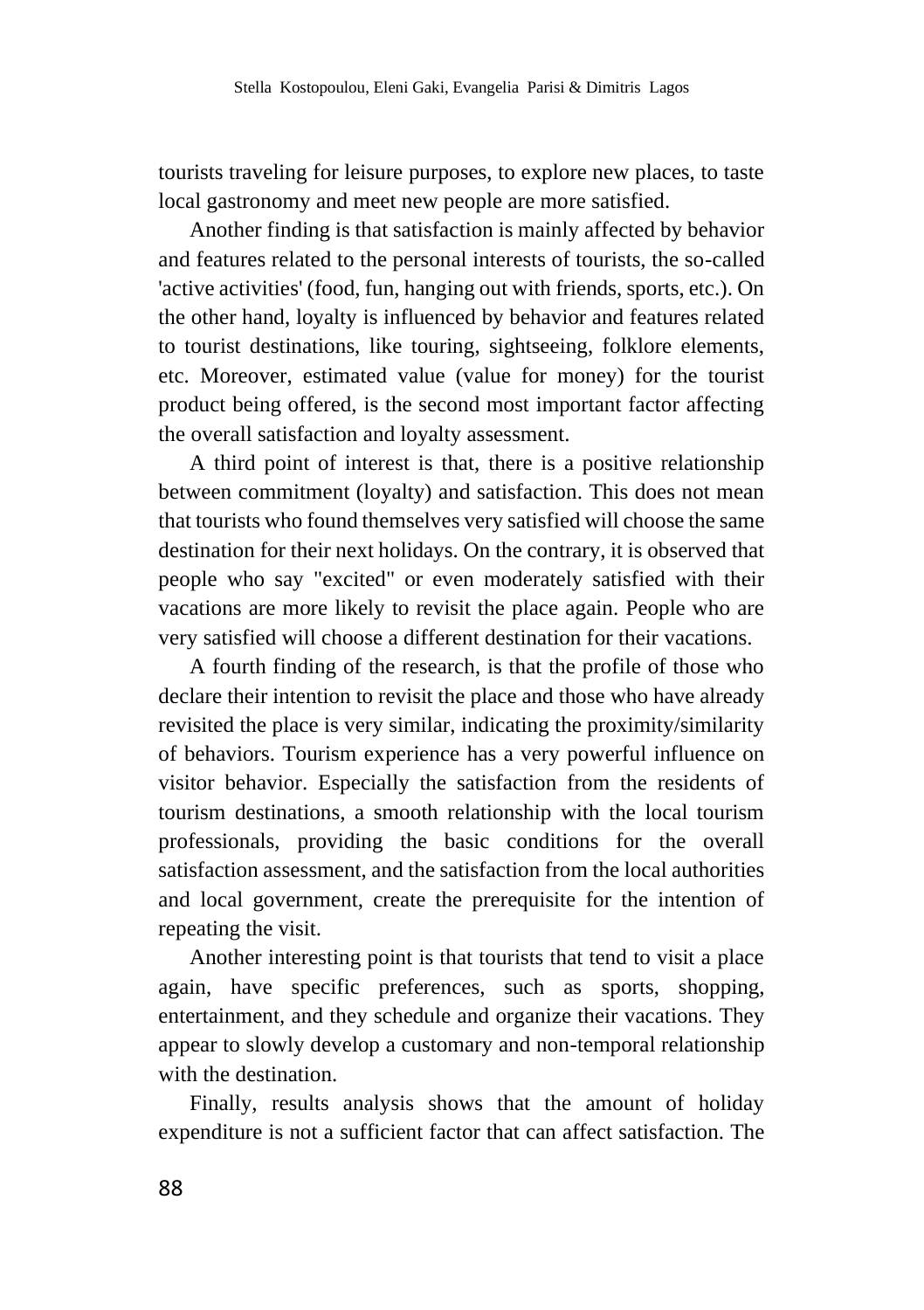tourists traveling for leisure purposes, to explore new places, to taste local gastronomy and meet new people are more satisfied.

Another finding is that satisfaction is mainly affected by behavior and features related to the personal interests of tourists, the so-called 'active activities' (food, fun, hanging out with friends, sports, etc.). On the other hand, loyalty is influenced by behavior and features related to tourist destinations, like touring, sightseeing, folklore elements, etc. Moreover, estimated value (value for money) for the tourist product being offered, is the second most important factor affecting the overall satisfaction and loyalty assessment.

A third point of interest is that, there is a positive relationship between commitment (loyalty) and satisfaction. This does not mean that tourists who found themselves very satisfied will choose the same destination for their next holidays. On the contrary, it is observed that people who say "excited" or even moderately satisfied with their vacations are more likely to revisit the place again. People who are very satisfied will choose a different destination for their vacations.

A fourth finding of the research, is that the profile of those who declare their intention to revisit the place and those who have already revisited the place is very similar, indicating the proximity/similarity of behaviors. Tourism experience has a very powerful influence on visitor behavior. Especially the satisfaction from the residents of tourism destinations, a smooth relationship with the local tourism professionals, providing the basic conditions for the overall satisfaction assessment, and the satisfaction from the local authorities and local government, create the prerequisite for the intention of repeating the visit.

Another interesting point is that tourists that tend to visit a place again, have specific preferences, such as sports, shopping, entertainment, and they schedule and organize their vacations. They appear to slowly develop a customary and non-temporal relationship with the destination.

Finally, results analysis shows that the amount of holiday expenditure is not a sufficient factor that can affect satisfaction. The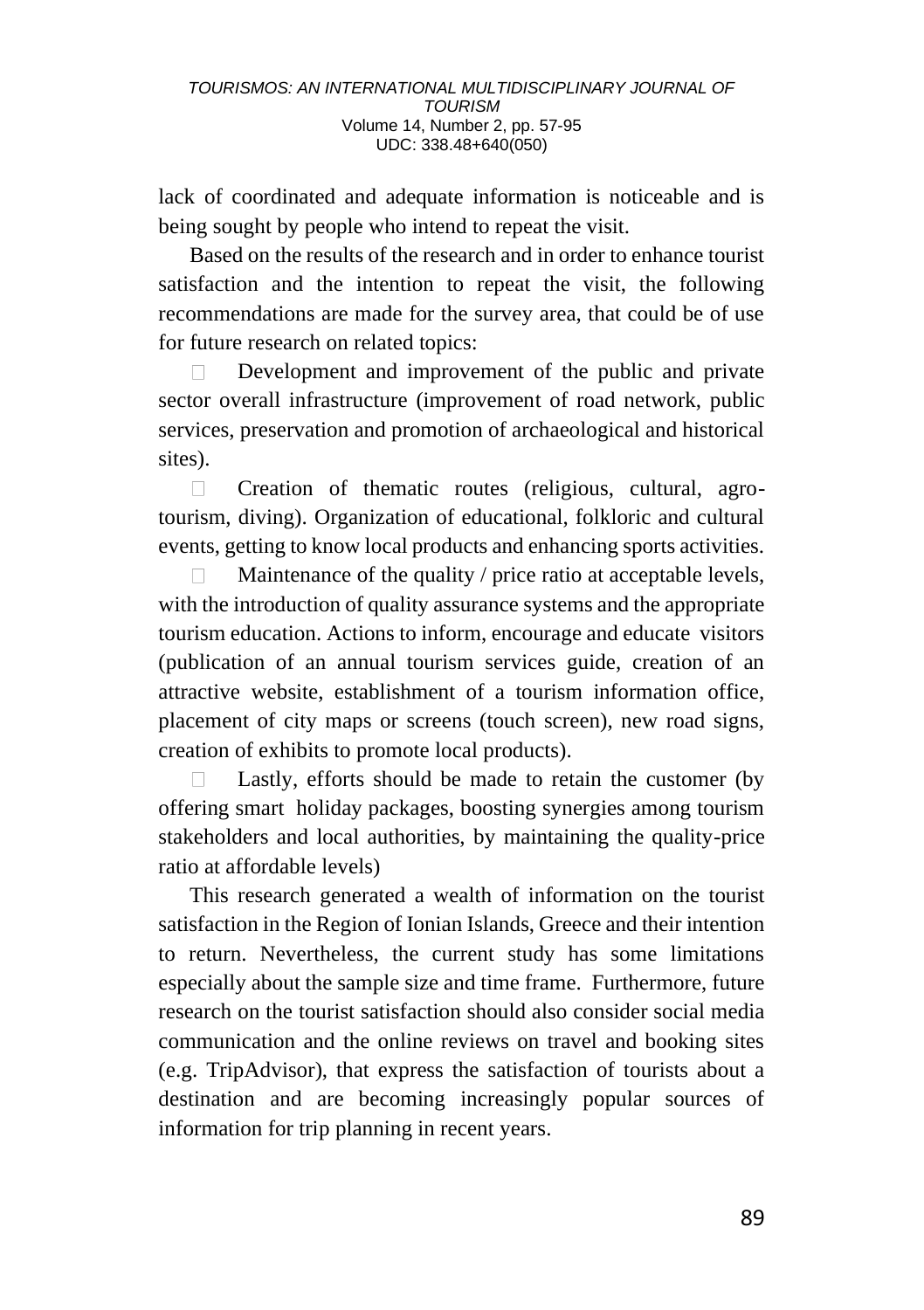lack of coordinated and adequate information is noticeable and is being sought by people who intend to repeat the visit.

Based on the results of the research and in order to enhance tourist satisfaction and the intention to repeat the visit, the following recommendations are made for the survey area, that could be of use for future research on related topics:

Development and improvement of the public and private sector overall infrastructure (improvement of road network, public services, preservation and promotion of archaeological and historical sites).

 $\Box$ Creation of thematic routes (religious, cultural, agrotourism, diving). Organization of educational, folkloric and cultural events, getting to know local products and enhancing sports activities.

Maintenance of the quality / price ratio at acceptable levels,  $\Box$ with the introduction of quality assurance systems and the appropriate tourism education. Actions to inform, encourage and educate visitors (publication of an annual tourism services guide, creation of an attractive website, establishment of a tourism information office, placement of city maps or screens (touch screen), new road signs, creation of exhibits to promote local products).

 $\Box$ Lastly, efforts should be made to retain the customer (by offering smart holiday packages, boosting synergies among tourism stakeholders and local authorities, by maintaining the quality-price ratio at affordable levels)

This research generated a wealth of information on the tourist satisfaction in the Region of Ionian Islands, Greece and their intention to return. Nevertheless, the current study has some limitations especially about the sample size and time frame. Furthermore, future research on the tourist satisfaction should also consider social media communication and the online reviews on travel and booking sites (e.g. TripAdvisor), that express the satisfaction of tourists about a destination and are becoming increasingly popular sources of information for trip planning in recent years.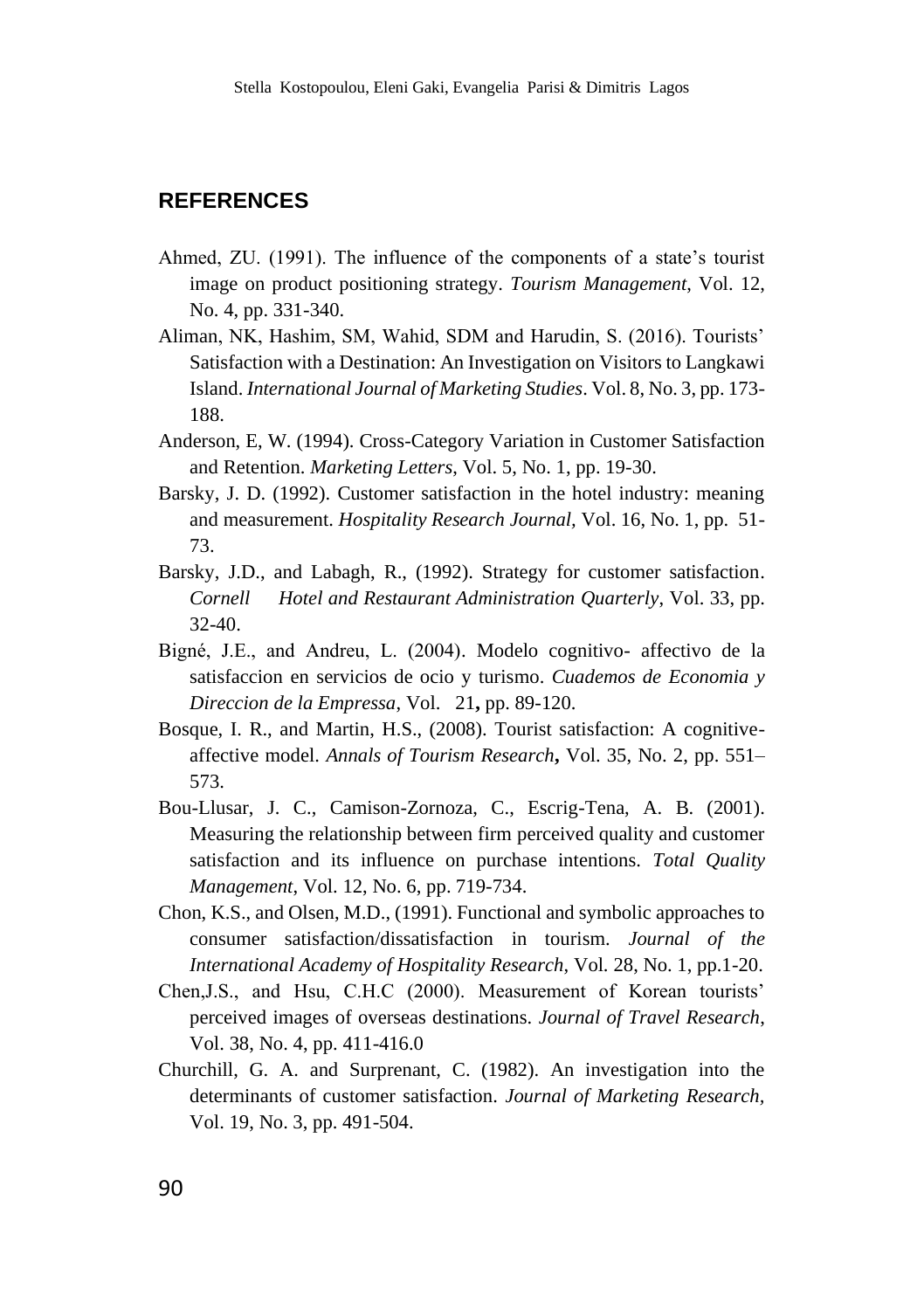### **REFERENCES**

- Ahmed, ZU. (1991). The influence of the components of a state's tourist image on product positioning strategy. *Tourism Management*, Vol. 12, No. 4, pp. 331-340.
- Aliman, NK, Hashim, SM, Wahid, SDM and Harudin, S. (2016). Tourists' Satisfaction with a Destination: An Investigation on Visitors to Langkawi Island. *International Journal of Marketing Studies*. Vol. 8, No. 3, pp. 173- 188.
- Anderson, E, W. (1994). Cross-Category Variation in Customer Satisfaction and Retention. *Marketing Letters*, Vol. 5, No. 1, pp. 19-30.
- Barsky, J. D. (1992). Customer satisfaction in the hotel industry: meaning and measurement. *Hospitality Research Journal,* Vol. 16, No. 1, pp. 51- 73.
- Barsky, J.D., and Labagh, R., (1992). Strategy for customer satisfaction. *Cornell Hotel and Restaurant Administration Quarterly*, Vol. 33, pp. 32-40.
- Bigné, J.E., and Andreu, L. (2004). Modelo cognitivo- affectivo de la satisfaccion en servicios de ocio y turismo. *Cuademos de Economia y Direccion de la Empressa*, Vol. 21**,** pp. 89-120.
- Bosque, I. R., and Martin, H.S., (2008). Tourist satisfaction: A cognitiveaffective model. *Annals of Tourism Research***,** Vol. 35, No. 2, pp. 551– 573.
- Bou-Llusar, J. C., Camison-Zornoza, C., Escrig-Tena, A. B. (2001). Measuring the relationship between firm perceived quality and customer satisfaction and its influence on purchase intentions. *Total Quality Management*, Vol. 12, No. 6, pp. 719-734.
- Chon, K.S., and Olsen, M.D., (1991). Functional and symbolic approaches to consumer satisfaction/dissatisfaction in tourism. *Journal of the International Academy of Hospitality Research*, Vol. 28, No. 1, pp.1-20.
- Chen,J.S., and Hsu, C.H.C (2000). Measurement of Korean tourists' perceived images of overseas destinations. *Journal of Travel Research*, Vol. 38, No. 4, pp. 411-416.0
- Churchill, G. A. and Surprenant, C. (1982). An investigation into the determinants of customer satisfaction. *Journal of Marketing Research,* Vol. 19, No. 3, pp. 491-504.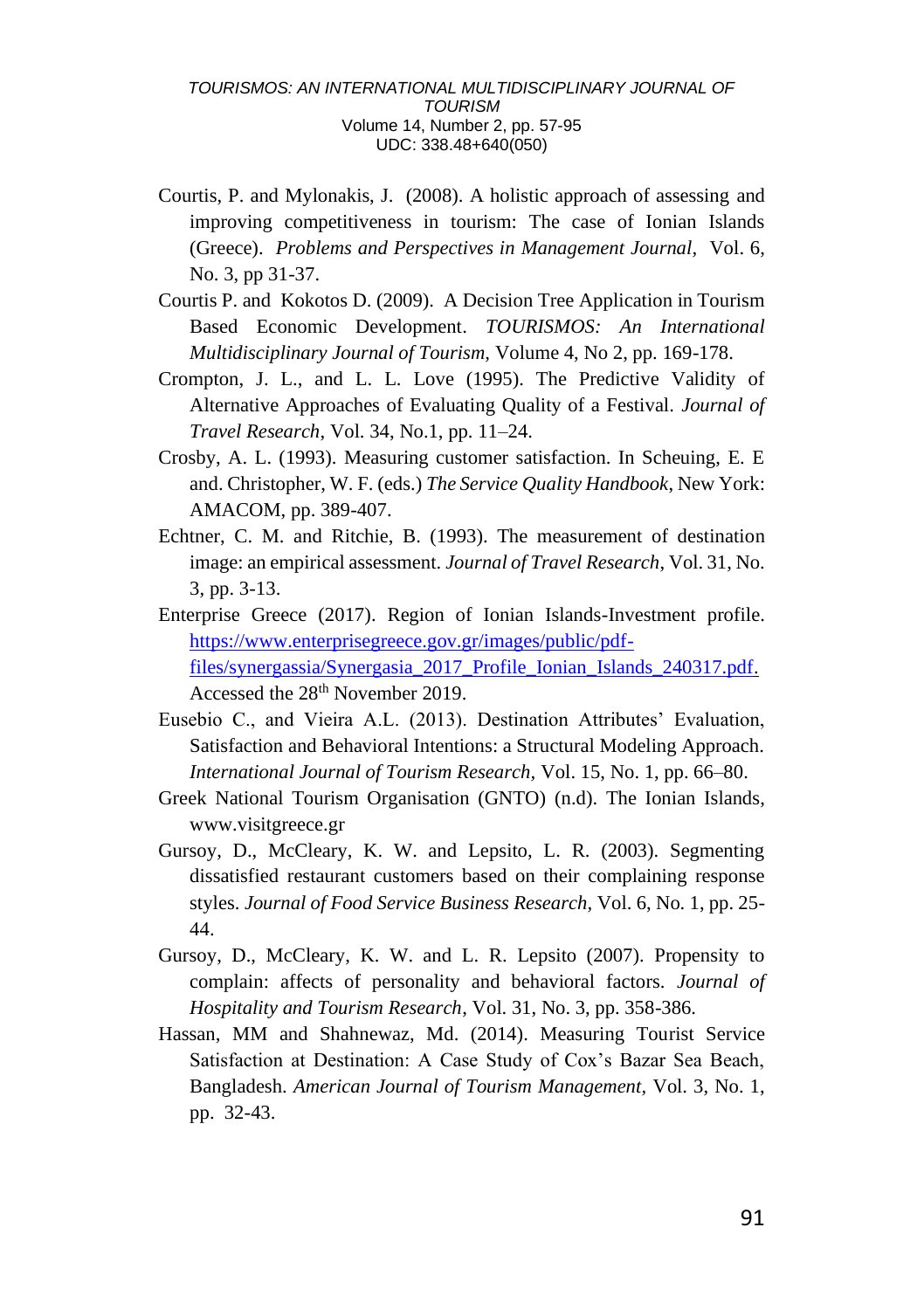- Courtis, P. and Mylonakis, J. (2008). A holistic approach of assessing and improving competitiveness in tourism: The case of Ionian Islands (Greece). *Problems and Perspectives in Management Journal,* Vol. 6, No. 3, pp 31-37.
- Courtis P. and Kokotos D. (2009). A Decision Tree Application in Tourism Based Economic Development. *TOURISMOS: An International Multidisciplinary Journal of Tourism,* Volume 4, No 2, pp. 169-178.
- Crompton, J. L., and L. L. Love (1995). The Predictive Validity of Alternative Approaches of Evaluating Quality of a Festival. *Journal of Travel Research*, Vol. 34, No.1, pp. 11–24.
- Crosby, A. L. (1993). Measuring customer satisfaction. In Scheuing, E. E and. Christopher, W. F. (eds.) *The Service Quality Handbook*, New York: AMACOM, pp. 389-407.
- Echtner, C. M. and Ritchie, B. (1993). The measurement of destination image: an empirical assessment. *Journal of Travel Research*, Vol. 31, No. 3, pp. 3-13.
- Enterprise Greece (2017). Region of Ionian Islands-Investment profile. [https://www.enterprisegreece.gov.gr/images/public/pdf](https://www.enterprisegreece.gov.gr/images/public/pdf-files/synergassia/Synergasia_2017_Profile_Ionian_Islands_240317.pdf)[files/synergassia/Synergasia\\_2017\\_Profile\\_Ionian\\_Islands\\_240317.pdf.](https://www.enterprisegreece.gov.gr/images/public/pdf-files/synergassia/Synergasia_2017_Profile_Ionian_Islands_240317.pdf)  Accessed the 28<sup>th</sup> November 2019.
- Eusebio C., and Vieira A.L. (2013). Destination Attributes' Evaluation, Satisfaction and Behavioral Intentions: a Structural Modeling Approach. *International Journal of Tourism Research,* Vol. 15, No. 1, pp. 66–80.
- Greek National Tourism Organisation (GNTO) (n.d). The Ionian Islands, www.visitgreece.gr
- Gursoy, D., McCleary, K. W. and Lepsito, L. R. (2003). Segmenting dissatisfied restaurant customers based on their complaining response styles. *Journal of Food Service Business Research,* Vol. 6, No. 1, pp. 25- 44.
- Gursoy, D., McCleary, K. W. and L. R. Lepsito (2007). Propensity to complain: affects of personality and behavioral factors. *Journal of Hospitality and Tourism Research*, Vol. 31, No. 3, pp. 358-386.
- Hassan, MM and Shahnewaz, Md. (2014). Measuring Tourist Service Satisfaction at Destination: A Case Study of Cox's Bazar Sea Beach, Bangladesh. *American Journal of Tourism Management*, Vol. 3, No. 1, pp. 32-43.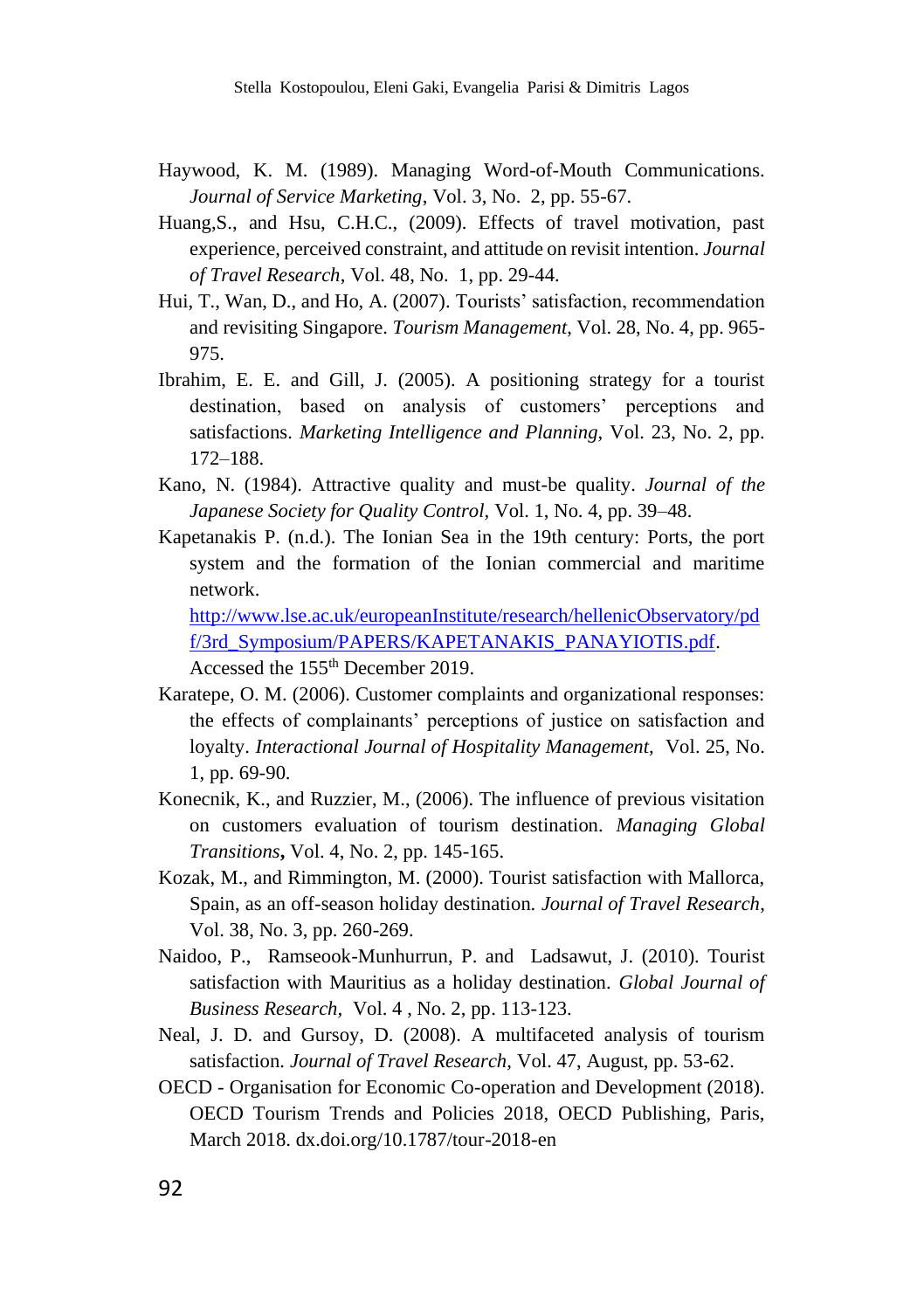- Haywood, K. M. (1989). Managing Word-of-Mouth Communications. *Journal of Service Marketing*, Vol. 3, No. 2, pp. 55-67.
- Huang, S., and Hsu, C.H.C., (2009). Effects of travel motivation, past experience, perceived constraint, and attitude on revisit intention. *Journal of Travel Research*, Vol. 48, No. 1, pp. 29-44.
- Hui, T., Wan, D., and Ho, A. (2007). Tourists' satisfaction, recommendation and revisiting Singapore. *Tourism Management*, Vol. 28, No. 4, pp. 965- 975.
- Ibrahim, E. E. and Gill, J. (2005). A positioning strategy for a tourist destination, based on analysis of customers' perceptions and satisfactions. *Marketing Intelligence and Planning,* Vol. 23, No. 2, pp. 172–188.
- Kano, N. (1984). Attractive quality and must-be quality. *Journal of the Japanese Society for Quality Control,* Vol. 1, No. 4, pp. 39–48.
- Kapetanakis P. (n.d.). The Ionian Sea in the 19th century: Ports, the port system and the formation of the Ionian commercial and maritime network.

[http://www.lse.ac.uk/europeanInstitute/research/hellenicObservatory/pd](http://www.lse.ac.uk/europeanInstitute/research/hellenicObservatory/pdf/3rd_Symposium/PAPERS/KAPETANAKIS_PANAYIOTIS.pdf) [f/3rd\\_Symposium/PAPERS/KAPETANAKIS\\_PANAYIOTIS.pdf.](http://www.lse.ac.uk/europeanInstitute/research/hellenicObservatory/pdf/3rd_Symposium/PAPERS/KAPETANAKIS_PANAYIOTIS.pdf) Accessed the 155th December 2019.

- Karatepe, O. M. (2006). Customer complaints and organizational responses: the effects of complainants' perceptions of justice on satisfaction and loyalty. *Interactional Journal of Hospitality Management,* Vol. 25, No. 1, pp. 69-90.
- Konecnik, K., and Ruzzier, M., (2006). The influence of previous visitation on customers evaluation of tourism destination. *Managing Global Transitions***,** Vol. 4, No. 2, pp. 145-165.
- Kozak, M., and Rimmington, M. (2000). Tourist satisfaction with Mallorca, Spain, as an off-season holiday destination. *Journal of Travel Research*, Vol. 38, No. 3, pp. 260-269.
- Naidoo, P., Ramseook-Munhurrun, P. and Ladsawut, J. (2010). Tourist satisfaction with Mauritius as a holiday destination. *Global Journal of Business Research,* Vol. 4 , No. 2, pp. 113-123.
- Neal, J. D. and Gursoy, D. (2008). A multifaceted analysis of tourism satisfaction. *Journal of Travel Research,* Vol. 47, August, pp. 53-62.
- OECD Organisation for Economic Co-operation and Development (2018). OECD Tourism Trends and Policies 2018, OECD Publishing, Paris, March 2018. dx.doi.org/10.1787/tour-2018-en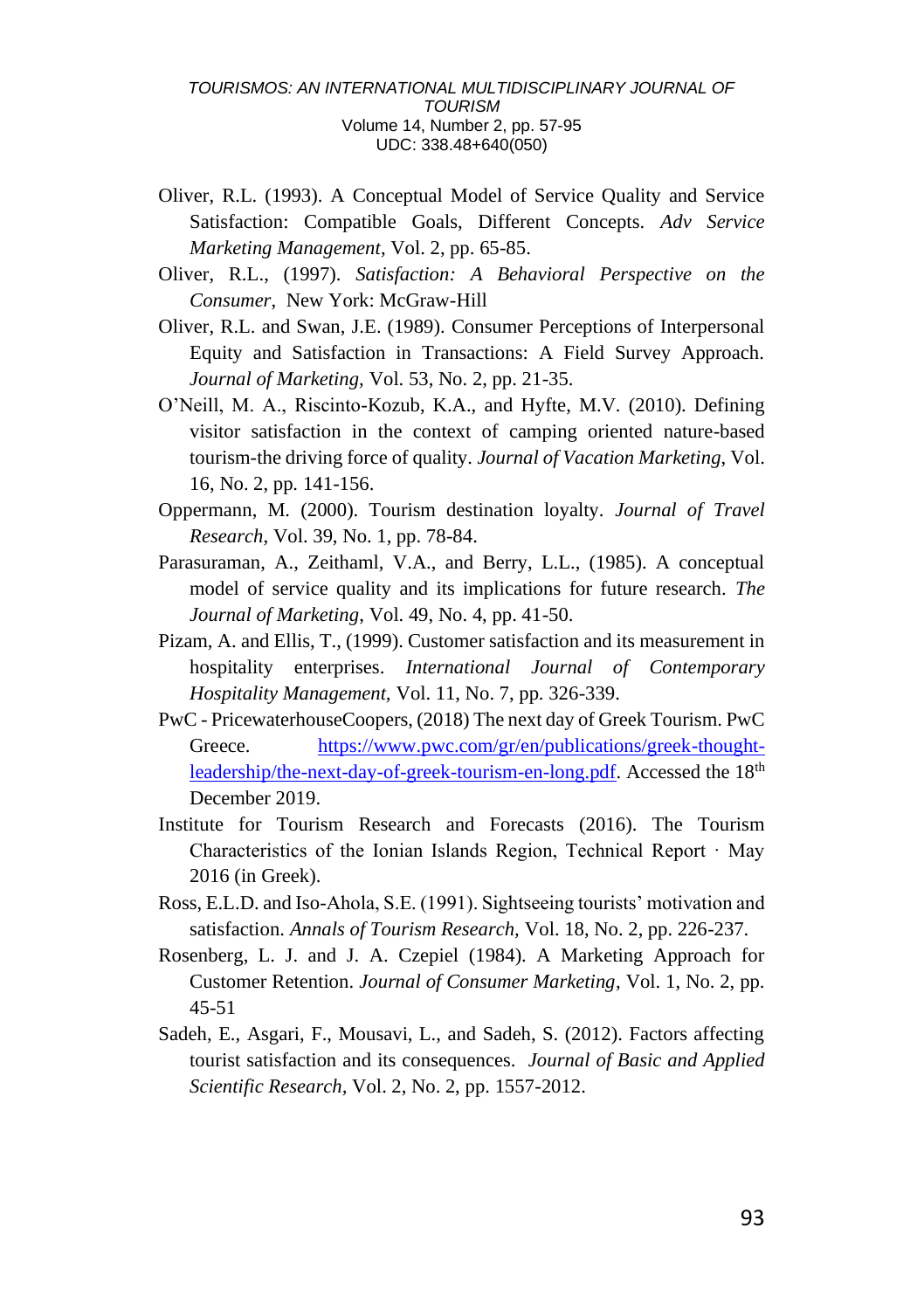- Oliver, R.L. (1993). A Conceptual Model of Service Quality and Service Satisfaction: Compatible Goals, Different Concepts. *Adv Service Marketing Management*, Vol. 2, pp. 65-85.
- Oliver, R.L., (1997). *Satisfaction: A Behavioral Perspective on the Consumer*, New York: McGraw-Hill
- Oliver, R.L. and Swan, J.E. (1989). Consumer Perceptions of Interpersonal Equity and Satisfaction in Transactions: A Field Survey Approach. *Journal of Marketing,* Vol. 53, No. 2, pp. 21-35.
- O'Neill, M. A., Riscinto-Kozub, K.A., and Hyfte, M.V. (2010). Defining visitor satisfaction in the context of camping oriented nature-based tourism-the driving force of quality. *Journal of Vacation Marketing*, Vol. 16, No. 2, pp. 141-156.
- Oppermann, M. (2000). Tourism destination loyalty. *Journal of Travel Research*, Vol. 39, No. 1, pp. 78-84.
- Parasuraman, A., Zeithaml, V.A., and Berry, L.L., (1985). A conceptual model of service quality and its implications for future research. *The Journal of Marketing*, Vol. 49, No. 4, pp. 41-50.
- Pizam, A. and Ellis, T., (1999). Customer satisfaction and its measurement in hospitality enterprises. *International Journal of Contemporary Hospitality Management,* Vol. 11, No. 7, pp. 326-339.
- PwC PricewaterhouseCoopers, (2018) The next day of Greek Tourism. PwC Greece. [https://www.pwc.com/gr/en/publications/greek-thought](https://www.pwc.com/gr/en/publications/greek-thought-leadership/the-next-day-of-greek-tourism-en-long.pdf)[leadership/the-next-day-of-greek-tourism-en-long.pdf.](https://www.pwc.com/gr/en/publications/greek-thought-leadership/the-next-day-of-greek-tourism-en-long.pdf) Accessed the 18<sup>th</sup> December 2019.
- Institute for Tourism Research and Forecasts (2016). The Tourism Characteristics of the Ionian Islands Region, Technical Report · May 2016 (in Greek).
- Ross, E.L.D. and Iso-Ahola, S.E. (1991). Sightseeing tourists' motivation and satisfaction. *Annals of Tourism Research,* Vol. 18, No. 2, pp. 226-237.
- Rosenberg, L. J. and J. A. Czepiel (1984). A Marketing Approach for Customer Retention. *Journal of Consumer Marketing*, Vol. 1, No. 2, pp. 45-51
- Sadeh, E., Asgari, F., Mousavi, L., and Sadeh, S. (2012). Factors affecting tourist satisfaction and its consequences. *Journal of Basic and Applied Scientific Research,* Vol. 2, No. 2, pp. 1557-2012.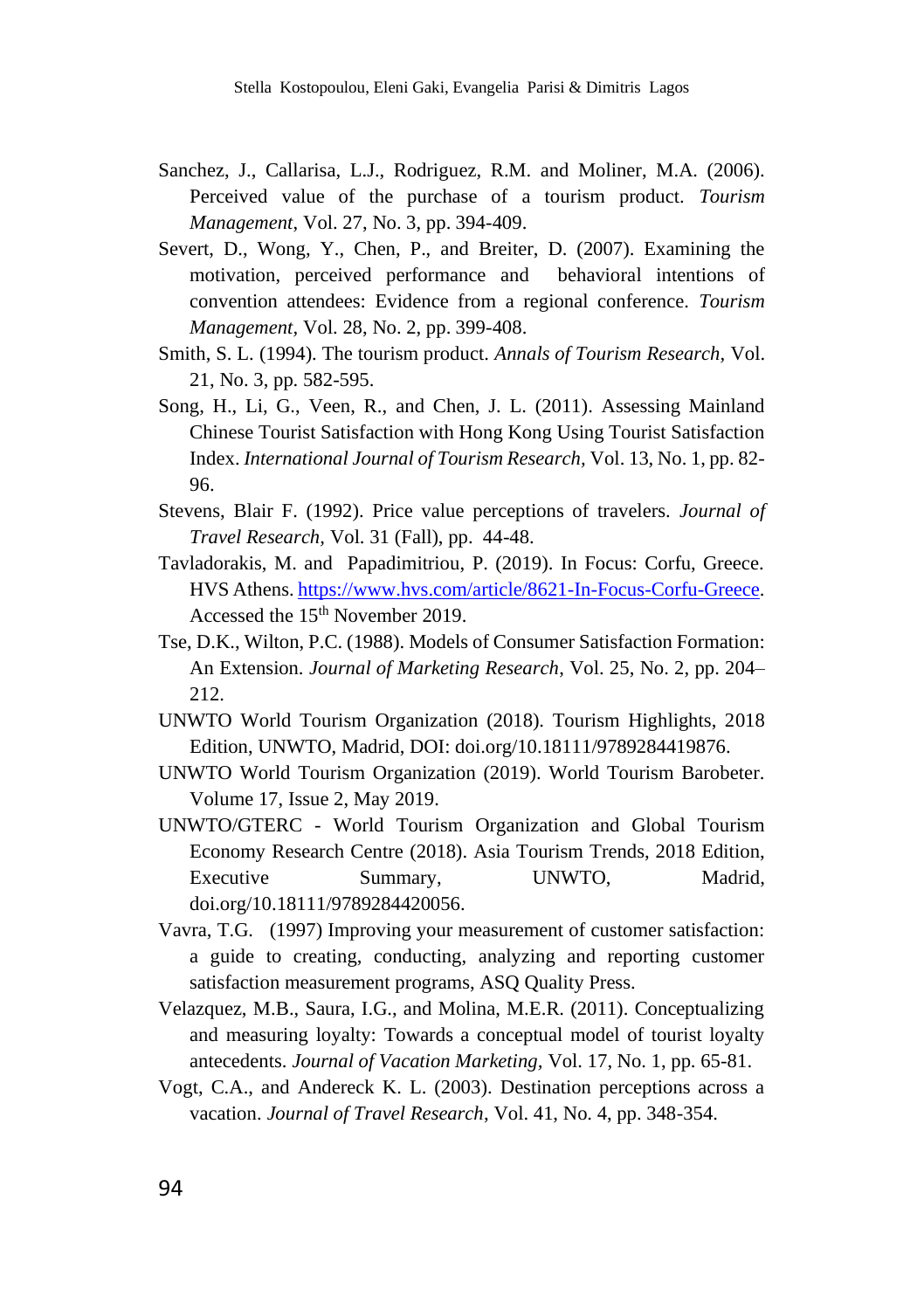- Sanchez, J., Callarisa, L.J., Rodriguez, R.M. and Moliner, M.A. (2006). Perceived value of the purchase of a tourism product. *Tourism Management*, Vol. 27, No. 3, pp. 394-409.
- Severt, D., Wong, Y., Chen, P., and Breiter, D. (2007). Examining the motivation, perceived performance and behavioral intentions of convention attendees: Evidence from a regional conference. *Tourism Management,* Vol. 28, No. 2, pp. 399-408.
- Smith, S. L. (1994). The tourism product. *Annals of Tourism Research,* Vol. 21, No. 3, pp. 582-595.
- Song, H., Li, G., Veen, R., and Chen, J. L. (2011). Assessing Mainland Chinese Tourist Satisfaction with Hong Kong Using Tourist Satisfaction Index. *International Journal of Tourism Research,* Vol. 13, No. 1, pp. 82- 96.
- Stevens, Blair F. (1992). Price value perceptions of travelers. *Journal of Travel Research,* Vol. 31 (Fall), pp. 44-48.
- Tavladorakis, M. and Papadimitriou, P. (2019). In Focus: Corfu, Greece. HVS Athens[. https://www.hvs.com/article/8621-In-Focus-Corfu-Greece.](https://www.hvs.com/article/8621-In-Focus-Corfu-Greece)  Accessed the 15<sup>th</sup> November 2019.
- Tse, D.K., Wilton, P.C. (1988). Models of Consumer Satisfaction Formation: An Extension. *Journal of Marketing Research*, Vol. 25, No. 2, pp. 204– 212.
- UNWTO World Tourism Organization (2018). Tourism Highlights, 2018 Edition, UNWTO, Madrid, DOI: doi.org/10.18111/9789284419876.
- UNWTO World Tourism Organization (2019). World Tourism Barobeter. Volume 17, Issue 2, May 2019.
- UNWTO/GTERC World Tourism Organization and Global Tourism Economy Research Centre (2018). Asia Tourism Trends, 2018 Edition, Executive Summary, UNWTO, Madrid, doi.org/10.18111/9789284420056.
- Vavra, T.G. (1997) Improving your measurement of customer satisfaction: a guide to creating, conducting, analyzing and reporting customer satisfaction measurement programs, ASQ Quality Press.
- Velazquez, M.B., Saura, I.G., and Molina, M.E.R. (2011). Conceptualizing and measuring loyalty: Towards a conceptual model of tourist loyalty antecedents. *Journal of Vacation Marketing,* Vol. 17, No. 1, pp. 65-81.
- Vogt, C.A., and Andereck K. L. (2003). Destination perceptions across a vacation. *Journal of Travel Research*, Vol. 41, No. 4, pp. 348-354.